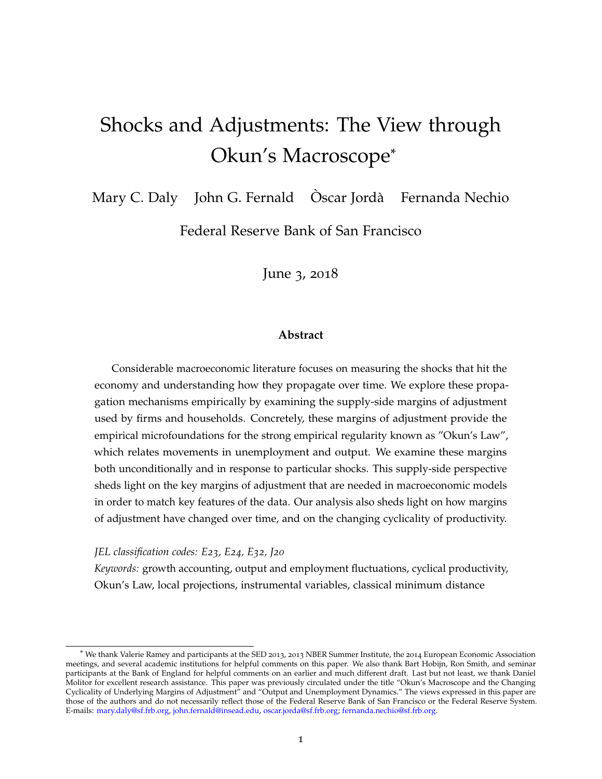# Shocks and Adjustments: The View through Okun's Macroscope\*

Mary C. Daly John G. Fernald Òscar Jordà Fernanda Nechio

Federal Reserve Bank of San Francisco

June 3, 2018

#### **Abstract**

Considerable macroeconomic literature focuses on measuring the shocks that hit the economy and understanding how they propagate over time. We explore these propagation mechanisms empirically by examining the supply-side margins of adjustment used by firms and households. Concretely, these margins of adjustment provide the empirical microfoundations for the strong empirical regularity known as "Okun's Law", which relates movements in unemployment and output. We examine these margins both unconditionally and in response to particular shocks. This supply-side perspective sheds light on the key margins of adjustment that are needed in macroeconomic models in order to match key features of the data. Our analysis also sheds light on how margins of adjustment have changed over time, and on the changing cyclicality of productivity.

*JEL classification codes: E23, E24, E32, J20*

*Keywords:* growth accounting, output and employment fluctuations, cyclical productivity, Okun's Law, local projections, instrumental variables, classical minimum distance

<sup>\*</sup> We thank Valerie Ramey and participants at the SED 2013, 2013 NBER Summer Institute, the 2014 European Economic Association meetings, and several academic institutions for helpful comments on this paper. We also thank Bart Hobijn, Ron Smith, and seminar participants at the Bank of England for helpful comments on an earlier and much different draft. Last but not least, we thank Daniel Molitor for excellent research assistance. This paper was previously circulated under the title "Okun's Macroscope and the Changing Cyclicality of Underlying Margins of Adjustment" and "Output and Unemployment Dynamics." The views expressed in this paper are those of the authors and do not necessarily reflect those of the Federal Reserve Bank of San Francisco or the Federal Reserve System. E-mails: [mary.daly@sf.frb.org,](mailto:mary.daly@sf.frb.org) [john.fernald@insead.edu,](mailto:john.fernald@insead.edu) [oscar.jorda@sf.frb.org;](mailto:oscar.jorda@sf.frb.org) [fernanda.nechio@sf.frb.org.](mailto:fernanda.nechio@sf.frb.org)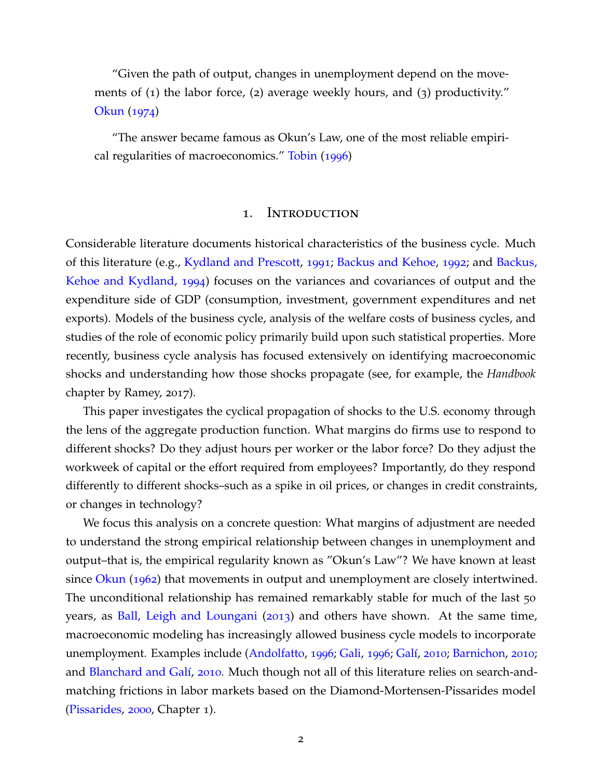"Given the path of output, changes in unemployment depend on the movements of (1) the labor force, (2) average weekly hours, and (3) productivity." [Okun](#page-29-0) ([1974](#page-29-0))

"The answer became famous as Okun's Law, one of the most reliable empirical regularities of macroeconomics." [Tobin](#page-30-0) ([1996](#page-30-0))

#### 1. Introduction

Considerable literature documents historical characteristics of the business cycle. Much of this literature (e.g., [Kydland and Prescott,](#page-29-1) [1991](#page-29-1); [Backus and Kehoe,](#page-26-0) [1992](#page-26-0); and [Backus,](#page-26-1) [Kehoe and Kydland,](#page-26-1) [1994](#page-26-1)) focuses on the variances and covariances of output and the expenditure side of GDP (consumption, investment, government expenditures and net exports). Models of the business cycle, analysis of the welfare costs of business cycles, and studies of the role of economic policy primarily build upon such statistical properties. More recently, business cycle analysis has focused extensively on identifying macroeconomic shocks and understanding how those shocks propagate (see, for example, the *Handbook* chapter by Ramey, 2017).

This paper investigates the cyclical propagation of shocks to the U.S. economy through the lens of the aggregate production function. What margins do firms use to respond to different shocks? Do they adjust hours per worker or the labor force? Do they adjust the workweek of capital or the effort required from employees? Importantly, do they respond differently to different shocks–such as a spike in oil prices, or changes in credit constraints, or changes in technology?

We focus this analysis on a concrete question: What margins of adjustment are needed to understand the strong empirical relationship between changes in unemployment and output–that is, the empirical regularity known as "Okun's Law"? We have known at least since [Okun](#page-29-2) ([1962](#page-29-2)) that movements in output and unemployment are closely intertwined. The unconditional relationship has remained remarkably stable for much of the last 50 years, as [Ball, Leigh and Loungani](#page-26-2) ([2013](#page-26-2)) and others have shown. At the same time, macroeconomic modeling has increasingly allowed business cycle models to incorporate unemployment. Examples include [\(Andolfatto,](#page-26-3) [1996](#page-28-0); [Gali,](#page-28-0) 1996; Galí, [2010](#page-26-4); [Barnichon,](#page-26-4) 2010; and Blanchard and Galí, [2010](#page-27-0). Much though not all of this literature relies on search-andmatching frictions in labor markets based on the Diamond-Mortensen-Pissarides model [\(Pissarides,](#page-30-1) [2000](#page-30-1), Chapter 1).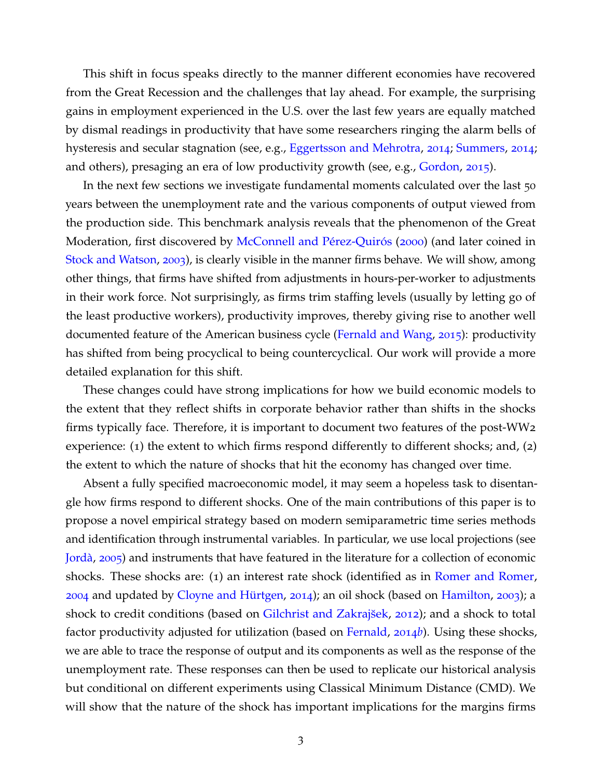This shift in focus speaks directly to the manner different economies have recovered from the Great Recession and the challenges that lay ahead. For example, the surprising gains in employment experienced in the U.S. over the last few years are equally matched by dismal readings in productivity that have some researchers ringing the alarm bells of hysteresis and secular stagnation (see, e.g., [Eggertsson and Mehrotra,](#page-27-1) [2014](#page-27-1); [Summers,](#page-30-2) [2014](#page-30-2); and others), presaging an era of low productivity growth (see, e.g., [Gordon,](#page-28-2) [2015](#page-28-2)).

In the next few sections we investigate fundamental moments calculated over the last 50 years between the unemployment rate and the various components of output viewed from the production side. This benchmark analysis reveals that the phenomenon of the Great Moderation, first discovered by McConnell and Pérez-Quirós ([2000](#page-29-3)) (and later coined in [Stock and Watson,](#page-30-3) [2003](#page-30-3)), is clearly visible in the manner firms behave. We will show, among other things, that firms have shifted from adjustments in hours-per-worker to adjustments in their work force. Not surprisingly, as firms trim staffing levels (usually by letting go of the least productive workers), productivity improves, thereby giving rise to another well documented feature of the American business cycle [\(Fernald and Wang,](#page-27-2) [2015](#page-27-2)): productivity has shifted from being procyclical to being countercyclical. Our work will provide a more detailed explanation for this shift.

These changes could have strong implications for how we build economic models to the extent that they reflect shifts in corporate behavior rather than shifts in the shocks firms typically face. Therefore, it is important to document two features of the post-WW2 experience:  $(i)$  the extent to which firms respond differently to different shocks; and,  $(i)$ the extent to which the nature of shocks that hit the economy has changed over time.

Absent a fully specified macroeconomic model, it may seem a hopeless task to disentangle how firms respond to different shocks. One of the main contributions of this paper is to propose a novel empirical strategy based on modern semiparametric time series methods and identification through instrumental variables. In particular, we use local projections (see Jordà, [2005](#page-29-4)) and instruments that have featured in the literature for a collection of economic shocks. These shocks are: (1) an interest rate shock (identified as in [Romer and Romer,](#page-30-4) [2004](#page-30-4) and updated by Cloyne and Hürtgen, [2014](#page-27-3)); an oil shock (based on [Hamilton,](#page-28-3) [2003](#page-28-3)); a shock to credit conditions (based on Gilchrist and Zakrajšek, [2012](#page-28-4)); and a shock to total factor productivity adjusted for utilization (based on [Fernald,](#page-27-4) [2014](#page-27-4)*b*). Using these shocks, we are able to trace the response of output and its components as well as the response of the unemployment rate. These responses can then be used to replicate our historical analysis but conditional on different experiments using Classical Minimum Distance (CMD). We will show that the nature of the shock has important implications for the margins firms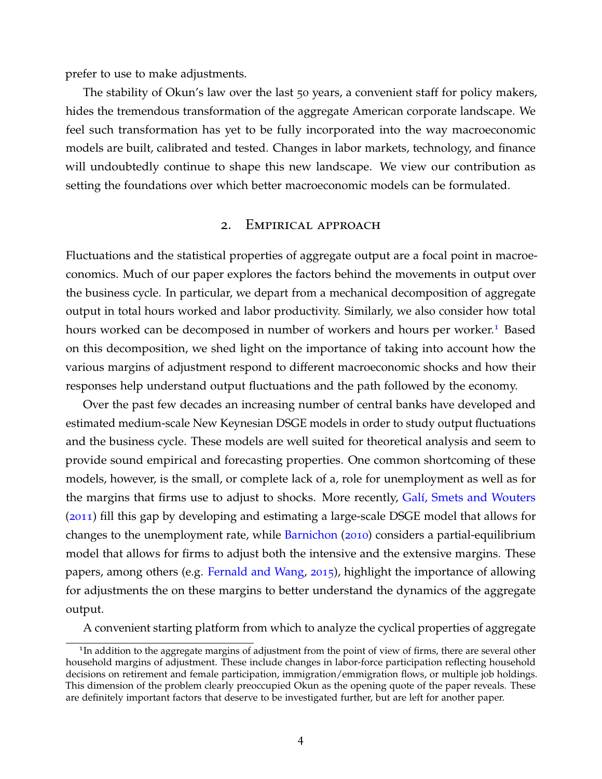prefer to use to make adjustments.

The stability of Okun's law over the last 50 years, a convenient staff for policy makers, hides the tremendous transformation of the aggregate American corporate landscape. We feel such transformation has yet to be fully incorporated into the way macroeconomic models are built, calibrated and tested. Changes in labor markets, technology, and finance will undoubtedly continue to shape this new landscape. We view our contribution as setting the foundations over which better macroeconomic models can be formulated.

## 2. Empirical approach

Fluctuations and the statistical properties of aggregate output are a focal point in macroeconomics. Much of our paper explores the factors behind the movements in output over the business cycle. In particular, we depart from a mechanical decomposition of aggregate output in total hours worked and labor productivity. Similarly, we also consider how total hours worked can be decomposed in number of workers and hours per worker.<sup>[1](#page-3-0)</sup> Based on this decomposition, we shed light on the importance of taking into account how the various margins of adjustment respond to different macroeconomic shocks and how their responses help understand output fluctuations and the path followed by the economy.

Over the past few decades an increasing number of central banks have developed and estimated medium-scale New Keynesian DSGE models in order to study output fluctuations and the business cycle. These models are well suited for theoretical analysis and seem to provide sound empirical and forecasting properties. One common shortcoming of these models, however, is the small, or complete lack of a, role for unemployment as well as for the margins that firms use to adjust to shocks. More recently, Gali, Smets and Wouters ([2011](#page-28-5)) fill this gap by developing and estimating a large-scale DSGE model that allows for changes to the unemployment rate, while [Barnichon](#page-26-4) ([2010](#page-26-4)) considers a partial-equilibrium model that allows for firms to adjust both the intensive and the extensive margins. These papers, among others (e.g. [Fernald and Wang,](#page-27-2) [2015](#page-27-2)), highlight the importance of allowing for adjustments the on these margins to better understand the dynamics of the aggregate output.

A convenient starting platform from which to analyze the cyclical properties of aggregate

<span id="page-3-0"></span><sup>&</sup>lt;sup>1</sup>In addition to the aggregate margins of adjustment from the point of view of firms, there are several other household margins of adjustment. These include changes in labor-force participation reflecting household decisions on retirement and female participation, immigration/emmigration flows, or multiple job holdings. This dimension of the problem clearly preoccupied Okun as the opening quote of the paper reveals. These are definitely important factors that deserve to be investigated further, but are left for another paper.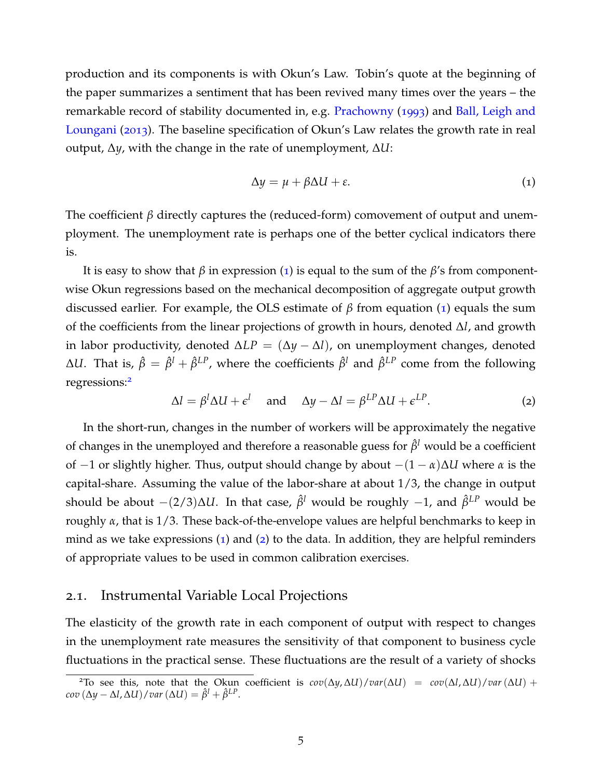production and its components is with Okun's Law. Tobin's quote at the beginning of the paper summarizes a sentiment that has been revived many times over the years – the remarkable record of stability documented in, e.g. [Prachowny](#page-30-5) ([1993](#page-30-5)) and [Ball, Leigh and](#page-26-2) [Loungani](#page-26-2) ([2013](#page-26-2)). The baseline specification of Okun's Law relates the growth rate in real output, ∆*y*, with the change in the rate of unemployment, ∆*U*:

<span id="page-4-0"></span>
$$
\Delta y = \mu + \beta \Delta U + \varepsilon. \tag{1}
$$

The coefficient *β* directly captures the (reduced-form) comovement of output and unemployment. The unemployment rate is perhaps one of the better cyclical indicators there is.

It is easy to show that *β* in expression ([1](#page-4-0)) is equal to the sum of the *β*'s from componentwise Okun regressions based on the mechanical decomposition of aggregate output growth discussed earlier. For example, the OLS estimate of *β* from equation ([1](#page-4-0)) equals the sum of the coefficients from the linear projections of growth in hours, denoted ∆*l*, and growth in labor productivity, denoted ∆*LP* = (∆*y* − ∆*l*), on unemployment changes, denoted  $ΔU$ . That is,  $\hat{\beta} = \hat{\beta}^l + \hat{\beta}^{LP}$ , where the coefficients  $\hat{\beta}^l$  and  $\hat{\beta}^{LP}$  come from the following regressions:[2](#page-4-1)

<span id="page-4-2"></span>
$$
\Delta l = \beta^l \Delta U + \epsilon^l \quad \text{and} \quad \Delta y - \Delta l = \beta^{LP} \Delta U + \epsilon^{LP}.
$$
 (2)

In the short-run, changes in the number of workers will be approximately the negative of changes in the unemployed and therefore a reasonable guess for *β*ˆ*<sup>l</sup>* would be a coefficient of −1 or slightly higher. Thus, output should change by about −(1 − *α*)∆*U* where *α* is the capital-share. Assuming the value of the labor-share at about 1/3, the change in output should be about  $-(2/3)\Delta U$ . In that case,  $\hat{\beta}^l$  would be roughly  $-1$ , and  $\hat{\beta}^{LP}$  would be roughly *α*, that is 1/3. These back-of-the-envelope values are helpful benchmarks to keep in mind as we take expressions  $(1)$  $(1)$  $(1)$  and  $(2)$  $(2)$  $(2)$  to the data. In addition, they are helpful reminders of appropriate values to be used in common calibration exercises.

## <span id="page-4-3"></span>2.1. Instrumental Variable Local Projections

The elasticity of the growth rate in each component of output with respect to changes in the unemployment rate measures the sensitivity of that component to business cycle fluctuations in the practical sense. These fluctuations are the result of a variety of shocks

<span id="page-4-1"></span><sup>&</sup>lt;sup>2</sup>To see this, note that the Okun coefficient is  $cov(\Delta y, \Delta U)/var(\Delta U) = cov(\Delta l, \Delta U)/var(\Delta U) +$  $cov(\Delta y - \Delta l, \Delta U)/var(\Delta U) = \hat{\beta}^l + \hat{\beta}^{LP}.$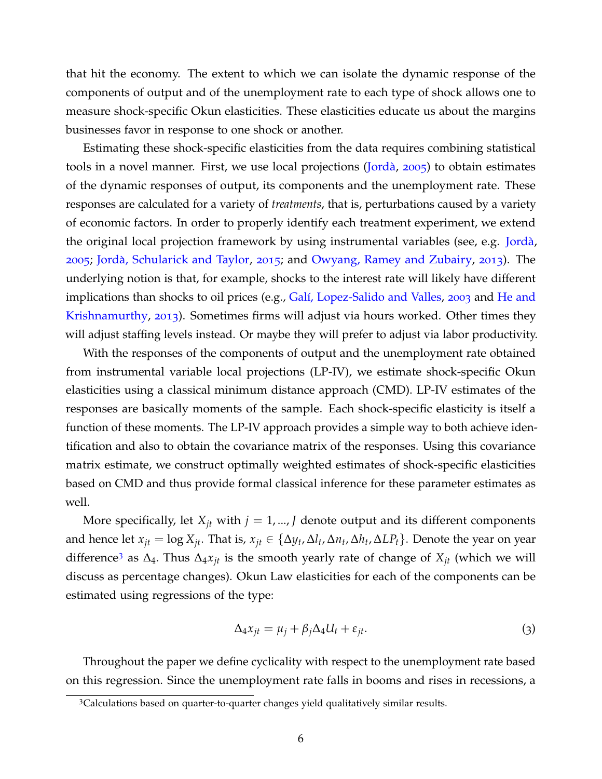that hit the economy. The extent to which we can isolate the dynamic response of the components of output and of the unemployment rate to each type of shock allows one to measure shock-specific Okun elasticities. These elasticities educate us about the margins businesses favor in response to one shock or another.

Estimating these shock-specific elasticities from the data requires combining statistical tools in a novel manner. First, we use local projections  $(Jord\lambda, 2005)$  $(Jord\lambda, 2005)$  $(Jord\lambda, 2005)$  to obtain estimates of the dynamic responses of output, its components and the unemployment rate. These responses are calculated for a variety of *treatments*, that is, perturbations caused by a variety of economic factors. In order to properly identify each treatment experiment, we extend the original local projection framework by using instrumental variables (see, e.g. [Jorda`,](#page-29-4) [2005](#page-29-4); Jordà, Schularick and Taylor, [2015](#page-29-5); and [Owyang, Ramey and Zubairy,](#page-29-6) [2013](#page-29-6)). The underlying notion is that, for example, shocks to the interest rate will likely have different implications than shocks to oil prices (e.g., Galí, Lopez-Salido and Valles, [2003](#page-28-6) and [He and](#page-29-7) [Krishnamurthy,](#page-29-7) [2013](#page-29-7)). Sometimes firms will adjust via hours worked. Other times they will adjust staffing levels instead. Or maybe they will prefer to adjust via labor productivity.

With the responses of the components of output and the unemployment rate obtained from instrumental variable local projections (LP-IV), we estimate shock-specific Okun elasticities using a classical minimum distance approach (CMD). LP-IV estimates of the responses are basically moments of the sample. Each shock-specific elasticity is itself a function of these moments. The LP-IV approach provides a simple way to both achieve identification and also to obtain the covariance matrix of the responses. Using this covariance matrix estimate, we construct optimally weighted estimates of shock-specific elasticities based on CMD and thus provide formal classical inference for these parameter estimates as well.

More specifically, let  $X_{jt}$  with  $j = 1, ..., J$  denote output and its different components and hence let  $x_{jt} = \log X_{jt}$ . That is,  $x_{jt} \in \{\Delta y_t, \Delta l_t, \Delta n_t, \Delta L P_t\}$ . Denote the year on year difference<sup>[3](#page-5-0)</sup> as  $\Delta_4$ . Thus  $\Delta_4 x_{it}$  is the smooth yearly rate of change of  $X_{it}$  (which we will discuss as percentage changes). Okun Law elasticities for each of the components can be estimated using regressions of the type:

<span id="page-5-1"></span>
$$
\Delta_4 x_{jt} = \mu_j + \beta_j \Delta_4 U_t + \varepsilon_{jt}.
$$
\n(3)

Throughout the paper we define cyclicality with respect to the unemployment rate based on this regression. Since the unemployment rate falls in booms and rises in recessions, a

<span id="page-5-0"></span><sup>&</sup>lt;sup>3</sup>Calculations based on quarter-to-quarter changes yield qualitatively similar results.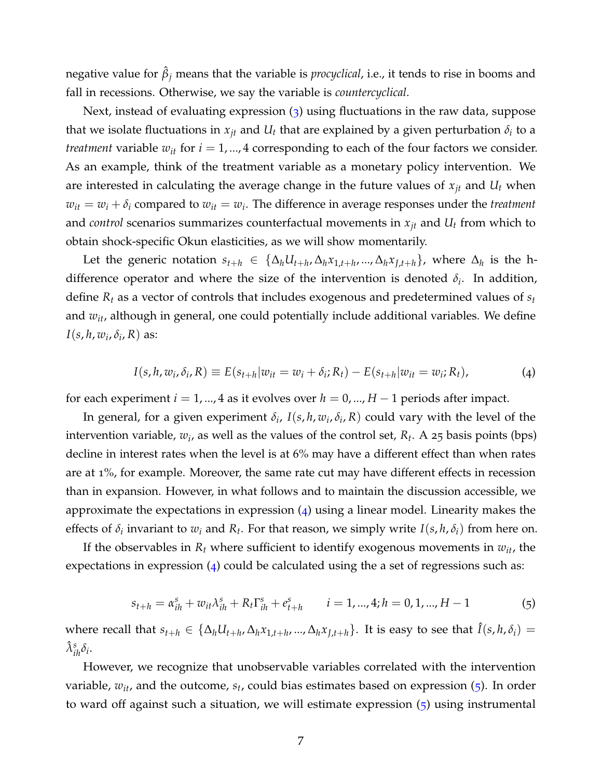negative value for  $\hat{\beta}_j$  means that the variable is *procyclical,* i.e., it tends to rise in booms and fall in recessions. Otherwise, we say the variable is *countercyclical*.

Next, instead of evaluating expression  $(3)$  $(3)$  $(3)$  using fluctuations in the raw data, suppose that we isolate fluctuations in  $x_{jt}$  and  $U_t$  that are explained by a given perturbation  $\delta_i$  to a *treatment* variable  $w_{it}$  for  $i = 1, ..., 4$  corresponding to each of the four factors we consider. As an example, think of the treatment variable as a monetary policy intervention. We are interested in calculating the average change in the future values of  $x_{jt}$  and  $U_t$  when  $w_{it} = w_i + \delta_i$  compared to  $w_{it} = w_i$ . The difference in average responses under the *treatment* and *control* scenarios summarizes counterfactual movements in *xjt* and *U<sup>t</sup>* from which to obtain shock-specific Okun elasticities, as we will show momentarily.

Let the generic notation  $s_{t+h} \in {\Delta_h U_{t+h}}$ ,  $\Delta_h x_{1,t+h}$ , ...,  $\Delta_h x_{J,t+h}$ , where  $\Delta_h$  is the hdifference operator and where the size of the intervention is denoted  $\delta_i$ . In addition, define *R<sup>t</sup>* as a vector of controls that includes exogenous and predetermined values of *s<sup>t</sup>* and *wit*, although in general, one could potentially include additional variables. We define *I*(*s*, *h*, *w<sup>i</sup>* , *δi* , *R*) as:

$$
I(s, h, w_i, \delta_i, R) \equiv E(s_{t+h} | w_{it} = w_i + \delta_i; R_t) - E(s_{t+h} | w_{it} = w_i; R_t),
$$
\n(4)

<span id="page-6-0"></span>for each experiment  $i = 1, ..., 4$  as it evolves over  $h = 0, ..., H - 1$  periods after impact.

In general, for a given experiment  $\delta_i$ ,  $I(s, h, w_i, \delta_i, R)$  could vary with the level of the intervention variable,  $w_i$ , as well as the values of the control set,  $R_t$ . A 25 basis points (bps) decline in interest rates when the level is at 6% may have a different effect than when rates are at 1%, for example. Moreover, the same rate cut may have different effects in recession than in expansion. However, in what follows and to maintain the discussion accessible, we approximate the expectations in expression  $(4)$  $(4)$  $(4)$  using a linear model. Linearity makes the effects of  $\delta_i$  invariant to  $w_i$  and  $R_t$ . For that reason, we simply write  $I(s, h, \delta_i)$  from here on.

<span id="page-6-1"></span>If the observables in  $R_t$  where sufficient to identify exogenous movements in  $w_{it}$ , the expectations in expression ([4](#page-6-0)) could be calculated using the a set of regressions such as:

$$
s_{t+h} = \alpha_{ih}^s + w_{it}\lambda_{ih}^s + R_t\Gamma_{ih}^s + e_{t+h}^s \qquad i = 1, ..., 4; h = 0, 1, ..., H - 1
$$
 (5)

where recall that  $s_{t+h} \in \{\Delta_h U_{t+h}, \Delta_h x_{1,t+h}, ..., \Delta_h x_{J,t+h}\}$ . It is easy to see that  $\hat{I}(s,h,\delta_i)$  =  $\hat{\lambda}^s_{ih}\delta_i$ .

However, we recognize that unobservable variables correlated with the intervention variable,  $w_{it}$ , and the outcome,  $s_t$ , could bias estimates based on expression ([5](#page-6-1)). In order to ward off against such a situation, we will estimate expression  $(5)$  $(5)$  $(5)$  using instrumental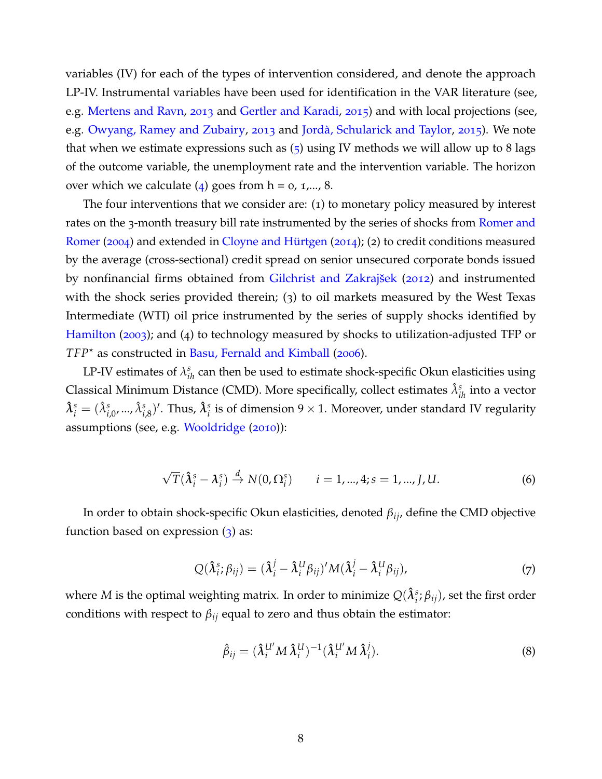variables (IV) for each of the types of intervention considered, and denote the approach LP-IV. Instrumental variables have been used for identification in the VAR literature (see, e.g. [Mertens and Ravn,](#page-29-8) [2013](#page-29-8) and [Gertler and Karadi,](#page-28-7) [2015](#page-28-7)) and with local projections (see, e.g. [Owyang, Ramey and Zubairy,](#page-29-6) [2013](#page-29-6) and Jordà, Schularick and Taylor, [2015](#page-29-5)). We note that when we estimate expressions such as  $(5)$  $(5)$  $(5)$  using IV methods we will allow up to 8 lags of the outcome variable, the unemployment rate and the intervention variable. The horizon over which we calculate  $(4)$  $(4)$  $(4)$  goes from h = 0, 1,..., 8.

The four interventions that we consider are: (1) to monetary policy measured by interest rates on the 3-month treasury bill rate instrumented by the series of shocks from [Romer and](#page-30-4) [Romer](#page-30-4) ([2004](#page-30-4)) and extended in Cloyne and Hürtgen  $(2014)$  $(2014)$  $(2014)$ ; (2) to credit conditions measured by the average (cross-sectional) credit spread on senior unsecured corporate bonds issued by nonfinancial firms obtained from Gilchrist and Zakrajšek ([2012](#page-28-4)) and instrumented with the shock series provided therein; (3) to oil markets measured by the West Texas Intermediate (WTI) oil price instrumented by the series of supply shocks identified by [Hamilton](#page-28-3) ([2003](#page-28-3)); and (4) to technology measured by shocks to utilization-adjusted TFP or *TFP*? as constructed in [Basu, Fernald and Kimball](#page-27-5) ([2006](#page-27-5)).

LP-IV estimates of  $\lambda_{ih}^s$  can then be used to estimate shock-specific Okun elasticities using Classical Minimum Distance (CMD). More specifically, collect estimates  $\hat{\lambda}_{ih}^s$  into a vector  $\bm{\hat{\lambda}}^s_i=(\hat{\lambda}^s_{i,0},...,\hat{\lambda}^s_{i,8})'.$  Thus,  $\bm{\hat{\lambda}}^s_i$  is of dimension 9  $\times$  1. Moreover, under standard IV regularity assumptions (see, e.g. [Wooldridge](#page-30-6) ([2010](#page-30-6))):

$$
\sqrt{T}(\hat{\lambda}_i^s - \lambda_i^s) \stackrel{d}{\rightarrow} N(0, \Omega_i^s) \qquad i = 1, ..., 4; s = 1, ..., J, U.
$$
 (6)

In order to obtain shock-specific Okun elasticities, denoted *βij*, define the CMD objective function based on expression  $(3)$  $(3)$  $(3)$  as:

<span id="page-7-0"></span>
$$
Q(\hat{\lambda}_i^s; \beta_{ij}) = (\hat{\lambda}_i^j - \hat{\lambda}_i^U \beta_{ij})^{\prime} M(\hat{\lambda}_i^j - \hat{\lambda}_i^U \beta_{ij}), \qquad (7)
$$

<span id="page-7-1"></span>where  $M$  is the optimal weighting matrix. In order to minimize  $Q(\bm{\hat{\lambda}}^s_i; \beta_{ij})$ , set the first order conditions with respect to  $\beta_{ij}$  equal to zero and thus obtain the estimator:

$$
\hat{\beta}_{ij} = (\hat{\lambda}_i^{U'} M \hat{\lambda}_i^{U})^{-1} (\hat{\lambda}_i^{U'} M \hat{\lambda}_i^{j}).
$$
\n(8)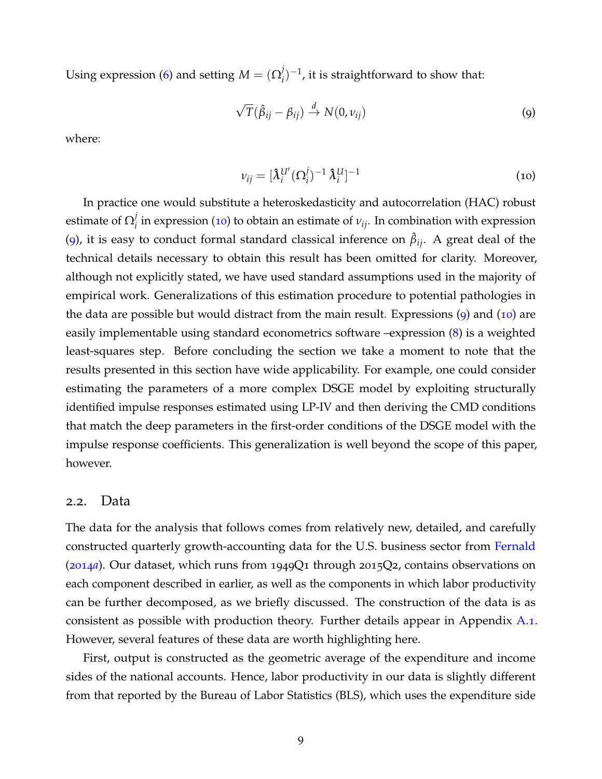<span id="page-8-1"></span>Using expression ([6](#page-7-0)) and setting  $M = (\Omega_j^j)$  $j^{j}_{i}$ )<sup>-1</sup>, it is straightforward to show that:

$$
\sqrt{T}(\hat{\beta}_{ij} - \beta_{ij}) \stackrel{d}{\rightarrow} N(0, \nu_{ij})
$$
\n(9)

<span id="page-8-0"></span>where:

$$
\nu_{ij} = [\hat{\lambda}_i^{U'}(\Omega_i^j)^{-1} \hat{\lambda}_i^{U}]^{-1}
$$
\n(10)

In practice one would substitute a heteroskedasticity and autocorrelation (HAC) robust estimate of  $\Omega_i^j$  $\mathbf{v}_i^j$  in expression ([10](#page-8-0)) to obtain an estimate of  $\mathbf{v}_{ij}$ . In combination with expression ([9](#page-8-1)), it is easy to conduct formal standard classical inference on  $\hat{\beta}_{ij}$ . A great deal of the technical details necessary to obtain this result has been omitted for clarity. Moreover, although not explicitly stated, we have used standard assumptions used in the majority of empirical work. Generalizations of this estimation procedure to potential pathologies in the data are possible but would distract from the main result. Expressions  $(q)$  and  $(q)$  are easily implementable using standard econometrics software –expression ([8](#page-7-1)) is a weighted least-squares step. Before concluding the section we take a moment to note that the results presented in this section have wide applicability. For example, one could consider estimating the parameters of a more complex DSGE model by exploiting structurally identified impulse responses estimated using LP-IV and then deriving the CMD conditions that match the deep parameters in the first-order conditions of the DSGE model with the impulse response coefficients. This generalization is well beyond the scope of this paper, however.

#### 2.2. Data

The data for the analysis that follows comes from relatively new, detailed, and carefully constructed quarterly growth-accounting data for the U.S. business sector from [Fernald](#page-27-6) ([2014](#page-27-6)*a*). Our dataset, which runs from 1949Q1 through 2015Q2, contains observations on each component described in earlier, as well as the components in which labor productivity can be further decomposed, as we briefly discussed. The construction of the data is as consistent as possible with production theory. Further details appear in Appendix [A.](#page-31-0)1. However, several features of these data are worth highlighting here.

First, output is constructed as the geometric average of the expenditure and income sides of the national accounts. Hence, labor productivity in our data is slightly different from that reported by the Bureau of Labor Statistics (BLS), which uses the expenditure side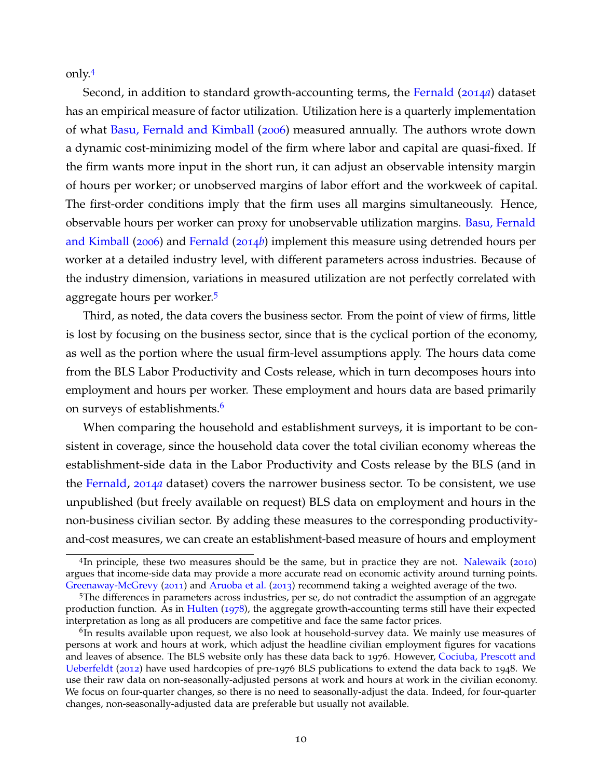only.[4](#page-9-0)

Second, in addition to standard growth-accounting terms, the [Fernald](#page-27-6) ([2014](#page-27-6)*a*) dataset has an empirical measure of factor utilization. Utilization here is a quarterly implementation of what [Basu, Fernald and Kimball](#page-27-5) ([2006](#page-27-5)) measured annually. The authors wrote down a dynamic cost-minimizing model of the firm where labor and capital are quasi-fixed. If the firm wants more input in the short run, it can adjust an observable intensity margin of hours per worker; or unobserved margins of labor effort and the workweek of capital. The first-order conditions imply that the firm uses all margins simultaneously. Hence, observable hours per worker can proxy for unobservable utilization margins. [Basu, Fernald](#page-27-5) [and Kimball](#page-27-5) ([2006](#page-27-5)) and [Fernald](#page-27-4) ([2014](#page-27-4)*b*) implement this measure using detrended hours per worker at a detailed industry level, with different parameters across industries. Because of the industry dimension, variations in measured utilization are not perfectly correlated with aggregate hours per worker.[5](#page-9-1)

Third, as noted, the data covers the business sector. From the point of view of firms, little is lost by focusing on the business sector, since that is the cyclical portion of the economy, as well as the portion where the usual firm-level assumptions apply. The hours data come from the BLS Labor Productivity and Costs release, which in turn decomposes hours into employment and hours per worker. These employment and hours data are based primarily on surveys of establishments.<sup>[6](#page-9-2)</sup>

When comparing the household and establishment surveys, it is important to be consistent in coverage, since the household data cover the total civilian economy whereas the establishment-side data in the Labor Productivity and Costs release by the BLS (and in the [Fernald,](#page-27-6) [2014](#page-27-6)*a* dataset) covers the narrower business sector. To be consistent, we use unpublished (but freely available on request) BLS data on employment and hours in the non-business civilian sector. By adding these measures to the corresponding productivityand-cost measures, we can create an establishment-based measure of hours and employment

<span id="page-9-0"></span><sup>4</sup> In principle, these two measures should be the same, but in practice they are not. [Nalewaik](#page-29-9) ([2010](#page-29-9)) argues that income-side data may provide a more accurate read on economic activity around turning points. [Greenaway-McGrevy](#page-28-8) ([2011](#page-28-8)) and [Aruoba et al.](#page-26-5) ([2013](#page-26-5)) recommend taking a weighted average of the two.

<span id="page-9-1"></span><sup>5</sup>The differences in parameters across industries, per se, do not contradict the assumption of an aggregate production function. As in [Hulten](#page-29-10) ([1978](#page-29-10)), the aggregate growth-accounting terms still have their expected interpretation as long as all producers are competitive and face the same factor prices.

<span id="page-9-2"></span><sup>&</sup>lt;sup>6</sup>In results available upon request, we also look at household-survey data. We mainly use measures of persons at work and hours at work, which adjust the headline civilian employment figures for vacations and leaves of absence. The BLS website only has these data back to 1976. However, [Cociuba, Prescott and](#page-27-7) [Ueberfeldt](#page-27-7) ([2012](#page-27-7)) have used hardcopies of pre-1976 BLS publications to extend the data back to 1948. We use their raw data on non-seasonally-adjusted persons at work and hours at work in the civilian economy. We focus on four-quarter changes, so there is no need to seasonally-adjust the data. Indeed, for four-quarter changes, non-seasonally-adjusted data are preferable but usually not available.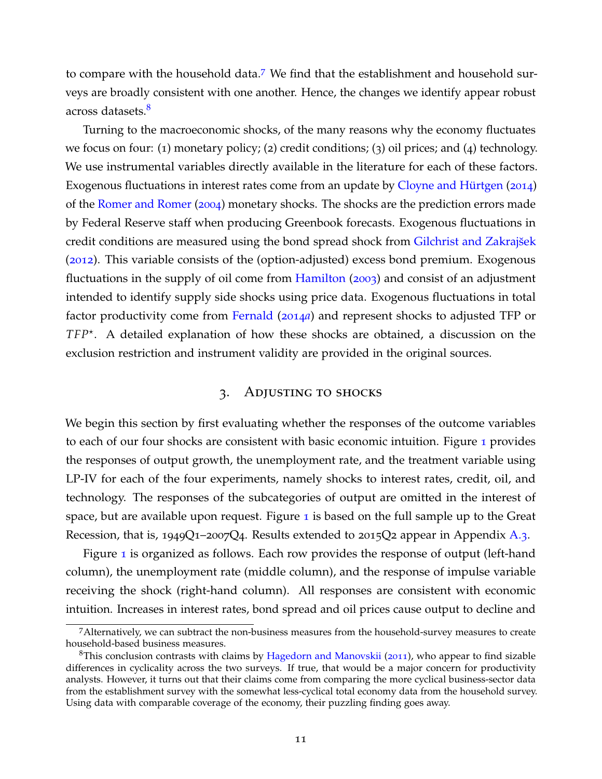to compare with the household data.[7](#page-10-0) We find that the establishment and household surveys are broadly consistent with one another. Hence, the changes we identify appear robust across datasets.<sup>[8](#page-10-1)</sup>

Turning to the macroeconomic shocks, of the many reasons why the economy fluctuates we focus on four: (1) monetary policy; (2) credit conditions; (3) oil prices; and (4) technology. We use instrumental variables directly available in the literature for each of these factors. Exogenous fluctuations in interest rates come from an update by Cloyne and Hürtgen  $(2014)$  $(2014)$  $(2014)$ of the [Romer and Romer](#page-30-4) ([2004](#page-30-4)) monetary shocks. The shocks are the prediction errors made by Federal Reserve staff when producing Greenbook forecasts. Exogenous fluctuations in credit conditions are measured using the bond spread shock from [Gilchrist and Zakrajsek](#page-28-4) ˘ ([2012](#page-28-4)). This variable consists of the (option-adjusted) excess bond premium. Exogenous fluctuations in the supply of oil come from [Hamilton](#page-28-3) ([2003](#page-28-3)) and consist of an adjustment intended to identify supply side shocks using price data. Exogenous fluctuations in total factor productivity come from [Fernald](#page-27-6) ([2014](#page-27-6)*a*) and represent shocks to adjusted TFP or *TFP*? . A detailed explanation of how these shocks are obtained, a discussion on the exclusion restriction and instrument validity are provided in the original sources.

# 3. Adjusting to shocks

We begin this section by first evaluating whether the responses of the outcome variables to each of our four shocks are consistent with basic economic intuition. Figure [1](#page-11-0) provides the responses of output growth, the unemployment rate, and the treatment variable using LP-IV for each of the four experiments, namely shocks to interest rates, credit, oil, and technology. The responses of the subcategories of output are omitted in the interest of space, but are available upon request. Figure [1](#page-11-0) is based on the full sample up to the Great Recession, that is, 1949Q1–2007Q4. Results extended to 2015Q2 appear in Appendix [A.](#page-33-0)3.

Figure [1](#page-11-0) is organized as follows. Each row provides the response of output (left-hand column), the unemployment rate (middle column), and the response of impulse variable receiving the shock (right-hand column). All responses are consistent with economic intuition. Increases in interest rates, bond spread and oil prices cause output to decline and

<span id="page-10-0"></span><sup>7</sup>Alternatively, we can subtract the non-business measures from the household-survey measures to create household-based business measures.

<span id="page-10-1"></span><sup>&</sup>lt;sup>8</sup>This conclusion contrasts with claims by [Hagedorn and Manovskii](#page-28-9) ( $2011$ ), who appear to find sizable differences in cyclicality across the two surveys. If true, that would be a major concern for productivity analysts. However, it turns out that their claims come from comparing the more cyclical business-sector data from the establishment survey with the somewhat less-cyclical total economy data from the household survey. Using data with comparable coverage of the economy, their puzzling finding goes away.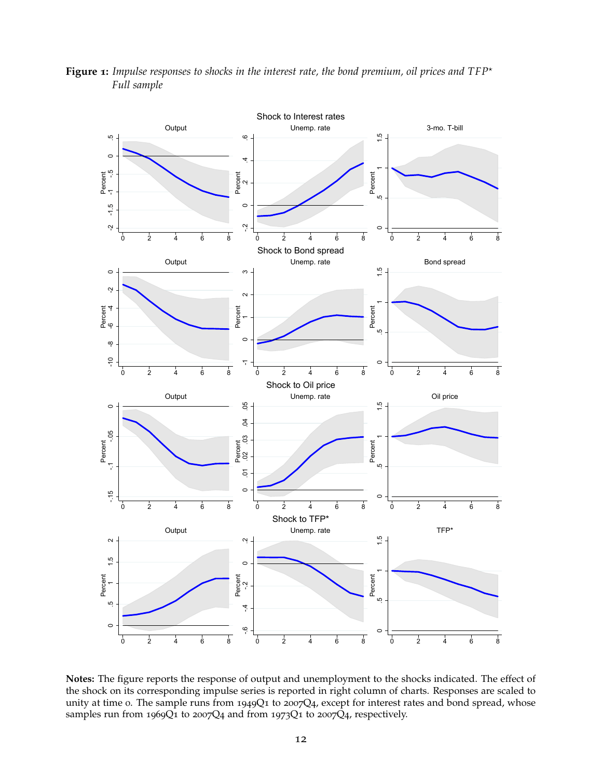<span id="page-11-0"></span>



**Notes:** The figure reports the response of output and unemployment to the shocks indicated. The effect of the shock on its corresponding impulse series is reported in right column of charts. Responses are scaled to unity at time 0. The sample runs from 1949Q1 to 2007Q4, except for interest rates and bond spread, whose samples run from 1969Q1 to 2007Q4 and from 1973Q1 to 2007Q4, respectively.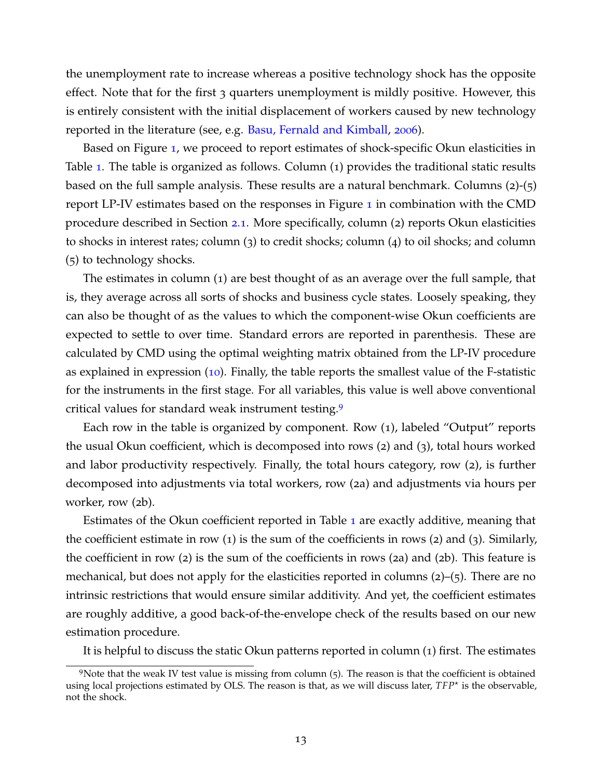the unemployment rate to increase whereas a positive technology shock has the opposite effect. Note that for the first 3 quarters unemployment is mildly positive. However, this is entirely consistent with the initial displacement of workers caused by new technology reported in the literature (see, e.g. [Basu, Fernald and Kimball,](#page-27-5) [2006](#page-27-5)).

Based on Figure [1](#page-11-0), we proceed to report estimates of shock-specific Okun elasticities in Table [1](#page-13-0). The table is organized as follows. Column (1) provides the traditional static results based on the full sample analysis. These results are a natural benchmark. Columns (2)-(5) report LP-IV estimates based on the responses in Figure [1](#page-11-0) in combination with the CMD procedure described in Section [2](#page-4-3).1. More specifically, column (2) reports Okun elasticities to shocks in interest rates; column (3) to credit shocks; column (4) to oil shocks; and column (5) to technology shocks.

The estimates in column (1) are best thought of as an average over the full sample, that is, they average across all sorts of shocks and business cycle states. Loosely speaking, they can also be thought of as the values to which the component-wise Okun coefficients are expected to settle to over time. Standard errors are reported in parenthesis. These are calculated by CMD using the optimal weighting matrix obtained from the LP-IV procedure as explained in expression  $(10)$  $(10)$  $(10)$ . Finally, the table reports the smallest value of the F-statistic for the instruments in the first stage. For all variables, this value is well above conventional critical values for standard weak instrument testing.<sup>[9](#page-12-0)</sup>

Each row in the table is organized by component. Row (1), labeled "Output" reports the usual Okun coefficient, which is decomposed into rows (2) and (3), total hours worked and labor productivity respectively. Finally, the total hours category, row (2), is further decomposed into adjustments via total workers, row (2a) and adjustments via hours per worker, row (2b).

Estimates of the Okun coefficient reported in Table [1](#page-13-0) are exactly additive, meaning that the coefficient estimate in row (1) is the sum of the coefficients in rows (2) and (3). Similarly, the coefficient in row  $(z)$  is the sum of the coefficients in rows  $(za)$  and  $(zb)$ . This feature is mechanical, but does not apply for the elasticities reported in columns (2)–(5). There are no intrinsic restrictions that would ensure similar additivity. And yet, the coefficient estimates are roughly additive, a good back-of-the-envelope check of the results based on our new estimation procedure.

<span id="page-12-0"></span>It is helpful to discuss the static Okun patterns reported in column (1) first. The estimates

<sup>9</sup>Note that the weak IV test value is missing from column (5). The reason is that the coefficient is obtained using local projections estimated by OLS. The reason is that, as we will discuss later, *TFP*\* is the observable, not the shock.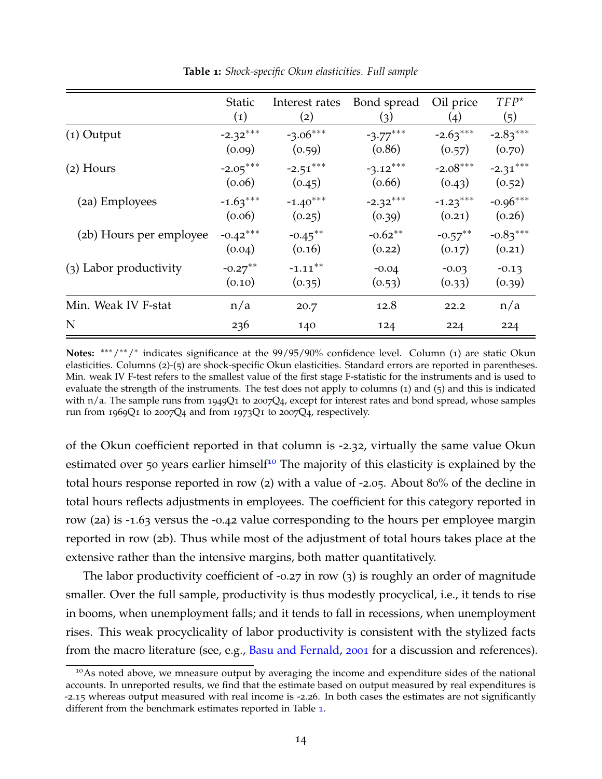<span id="page-13-0"></span>

|                          | <b>Static</b>     | Interest rates | Bond spread | Oil price  | $TFP^*$    |
|--------------------------|-------------------|----------------|-------------|------------|------------|
|                          | $\left( 1\right)$ | (2)            | (3)         | (4)        | (5)        |
| $(i)$ Output             | $-2.32***$        | $-3.06***$     | $-3.77***$  | $-2.63***$ | $-2.83***$ |
|                          | (0.09)            | (0.59)         | (0.86)      | (0.57)     | (0.70)     |
| $(2)$ Hours              | $-2.05***$        | $-2.51***$     | $-3.12***$  | $-2.08***$ | $-2.31***$ |
|                          | (0.06)            | (0.45)         | (0.66)      | (0.43)     | (0.52)     |
| (2a) Employees           | $-1.63***$        | $-1.40***$     | $-2.32***$  | $-1.23***$ | $-0.96***$ |
|                          | (0.06)            | (0.25)         | (0.39)      | (0.21)     | (0.26)     |
| (2b) Hours per employee  | $-0.42***$        | $-0.45***$     | $-0.62***$  | $-0.57***$ | $-0.83***$ |
|                          | (0.04)            | (0.16)         | (0.22)      | (0.17)     | (0.21)     |
| $(3)$ Labor productivity | $-0.27***$        | $-1.11***$     | $-0.04$     | $-0.03$    | $-0.13$    |
|                          | (0.10)            | (0.35)         | (0.53)      | (0.33)     | (0.39)     |
| Min. Weak IV F-stat      | n/a               | 20.7           | 12.8        | 22.2       | n/a        |
| N                        | 236               | 140            | 124         | 224        | 224        |

**Table 1:** *Shock-specific Okun elasticities. Full sample*

Notes: \*\*\*/\*\*/\* indicates significance at the 99/95/90% confidence level. Column (1) are static Okun elasticities. Columns (2)-(5) are shock-specific Okun elasticities. Standard errors are reported in parentheses. Min. weak IV F-test refers to the smallest value of the first stage F-statistic for the instruments and is used to evaluate the strength of the instruments. The test does not apply to columns (1) and (5) and this is indicated with n/a. The sample runs from 1949Q1 to 2007Q4, except for interest rates and bond spread, whose samples run from 1969Q1 to 2007Q4 and from 1973Q1 to 2007Q4, respectively.

of the Okun coefficient reported in that column is -2.32, virtually the same value Okun estimated over 50 years earlier himself<sup>[10](#page-13-1)</sup> The majority of this elasticity is explained by the total hours response reported in row (2) with a value of -2.05. About 80% of the decline in total hours reflects adjustments in employees. The coefficient for this category reported in row (2a) is -1.63 versus the -0.42 value corresponding to the hours per employee margin reported in row (2b). Thus while most of the adjustment of total hours takes place at the extensive rather than the intensive margins, both matter quantitatively.

The labor productivity coefficient of -0.27 in row (3) is roughly an order of magnitude smaller. Over the full sample, productivity is thus modestly procyclical, i.e., it tends to rise in booms, when unemployment falls; and it tends to fall in recessions, when unemployment rises. This weak procyclicality of labor productivity is consistent with the stylized facts from the macro literature (see, e.g., [Basu and Fernald,](#page-26-6) [2001](#page-26-6) for a discussion and references).

<span id="page-13-1"></span> $10$ As noted above, we mneasure output by averaging the income and expenditure sides of the national accounts. In unreported results, we find that the estimate based on output measured by real expenditures is -2.15 whereas output measured with real income is -2.26. In both cases the estimates are not significantly different from the benchmark estimates reported in Table [1](#page-13-0).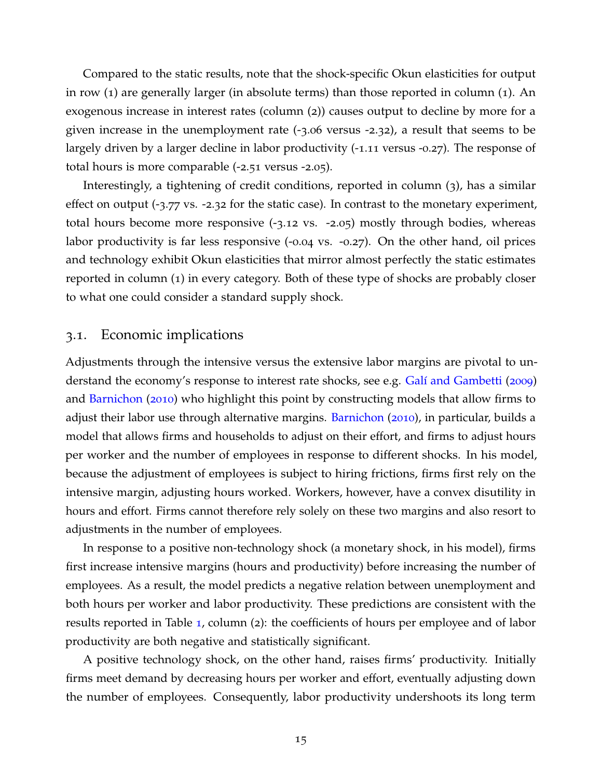Compared to the static results, note that the shock-specific Okun elasticities for output in row (1) are generally larger (in absolute terms) than those reported in column (1). An exogenous increase in interest rates (column (2)) causes output to decline by more for a given increase in the unemployment rate (-3.06 versus -2.32), a result that seems to be largely driven by a larger decline in labor productivity (-1.11 versus -0.27). The response of total hours is more comparable (-2.51 versus -2.05).

Interestingly, a tightening of credit conditions, reported in column (3), has a similar effect on output (-3.77 vs. -2.32 for the static case). In contrast to the monetary experiment, total hours become more responsive  $(-3.12 \text{ vs. } -2.05)$  mostly through bodies, whereas labor productivity is far less responsive (-0.04 vs. -0.27). On the other hand, oil prices and technology exhibit Okun elasticities that mirror almost perfectly the static estimates reported in column (1) in every category. Both of these type of shocks are probably closer to what one could consider a standard supply shock.

#### 3.1. Economic implications

Adjustments through the intensive versus the extensive labor margins are pivotal to un-derstand the economy's response to interest rate shocks, see e.g. Galí and Gambetti ([2009](#page-28-10)) and [Barnichon](#page-26-4) ([2010](#page-26-4)) who highlight this point by constructing models that allow firms to adjust their labor use through alternative margins. [Barnichon](#page-26-4) ([2010](#page-26-4)), in particular, builds a model that allows firms and households to adjust on their effort, and firms to adjust hours per worker and the number of employees in response to different shocks. In his model, because the adjustment of employees is subject to hiring frictions, firms first rely on the intensive margin, adjusting hours worked. Workers, however, have a convex disutility in hours and effort. Firms cannot therefore rely solely on these two margins and also resort to adjustments in the number of employees.

In response to a positive non-technology shock (a monetary shock, in his model), firms first increase intensive margins (hours and productivity) before increasing the number of employees. As a result, the model predicts a negative relation between unemployment and both hours per worker and labor productivity. These predictions are consistent with the results reported in Table [1](#page-13-0), column (2): the coefficients of hours per employee and of labor productivity are both negative and statistically significant.

A positive technology shock, on the other hand, raises firms' productivity. Initially firms meet demand by decreasing hours per worker and effort, eventually adjusting down the number of employees. Consequently, labor productivity undershoots its long term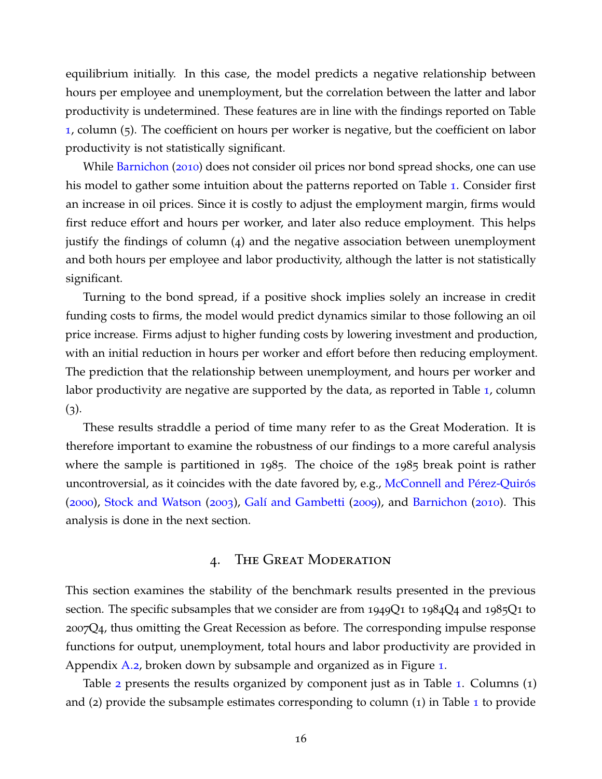equilibrium initially. In this case, the model predicts a negative relationship between hours per employee and unemployment, but the correlation between the latter and labor productivity is undetermined. These features are in line with the findings reported on Table [1](#page-13-0), column (5). The coefficient on hours per worker is negative, but the coefficient on labor productivity is not statistically significant.

While [Barnichon](#page-26-4) ([2010](#page-26-4)) does not consider oil prices nor bond spread shocks, one can use his model to gather some intuition about the patterns reported on Table [1](#page-13-0). Consider first an increase in oil prices. Since it is costly to adjust the employment margin, firms would first reduce effort and hours per worker, and later also reduce employment. This helps justify the findings of column (4) and the negative association between unemployment and both hours per employee and labor productivity, although the latter is not statistically significant.

Turning to the bond spread, if a positive shock implies solely an increase in credit funding costs to firms, the model would predict dynamics similar to those following an oil price increase. Firms adjust to higher funding costs by lowering investment and production, with an initial reduction in hours per worker and effort before then reducing employment. The prediction that the relationship between unemployment, and hours per worker and labor productivity are negative are supported by the data, as reported in Table [1](#page-13-0), column  $(3).$ 

These results straddle a period of time many refer to as the Great Moderation. It is therefore important to examine the robustness of our findings to a more careful analysis where the sample is partitioned in 1985. The choice of the 1985 break point is rather uncontroversial, as it coincides with the date favored by, e.g., McConnell and Pérez-Quirós  $(2000)$  $(2000)$  $(2000)$ , [Stock and Watson](#page-30-3)  $(2003)$  $(2003)$  $(2003)$ , Galí and Gambetti  $(2009)$  $(2009)$  $(2009)$ , and [Barnichon](#page-26-4)  $(2010)$  $(2010)$  $(2010)$ . This analysis is done in the next section.

## 4. The Great Moderation

<span id="page-15-0"></span>This section examines the stability of the benchmark results presented in the previous section. The specific subsamples that we consider are from 1949Q1 to 1984Q4 and 1985Q1 to 2007Q4, thus omitting the Great Recession as before. The corresponding impulse response functions for output, unemployment, total hours and labor productivity are provided in Appendix [A.](#page-33-1)2, broken down by subsample and organized as in Figure [1](#page-11-0).

Table [2](#page-19-0) presents the results organized by component just as in Table [1](#page-13-0). Columns (1) and (2) provide the subsample estimates corresponding to column  $(1)$  $(1)$  $(1)$  in Table 1 to provide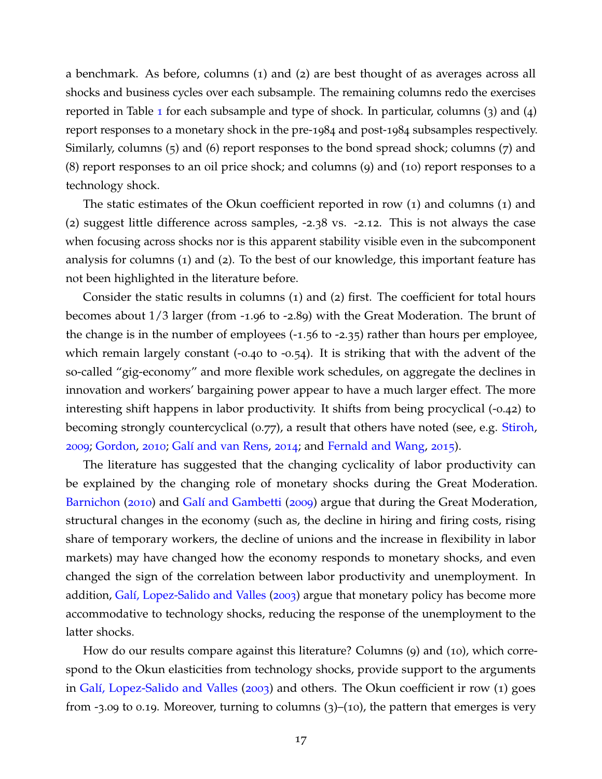a benchmark. As before, columns (1) and (2) are best thought of as averages across all shocks and business cycles over each subsample. The remaining columns redo the exercises reported in Table [1](#page-13-0) for each subsample and type of shock. In particular, columns  $(3)$  and  $(4)$ report responses to a monetary shock in the pre-1984 and post-1984 subsamples respectively. Similarly, columns (5) and (6) report responses to the bond spread shock; columns (7) and (8) report responses to an oil price shock; and columns (9) and (10) report responses to a technology shock.

The static estimates of the Okun coefficient reported in row (1) and columns (1) and (2) suggest little difference across samples, -2.38 vs. -2.12. This is not always the case when focusing across shocks nor is this apparent stability visible even in the subcomponent analysis for columns (1) and (2). To the best of our knowledge, this important feature has not been highlighted in the literature before.

Consider the static results in columns (1) and (2) first. The coefficient for total hours becomes about 1/3 larger (from -1.96 to -2.89) with the Great Moderation. The brunt of the change is in the number of employees (-1.56 to -2.35) rather than hours per employee, which remain largely constant (-0.40 to -0.54). It is striking that with the advent of the so-called "gig-economy" and more flexible work schedules, on aggregate the declines in innovation and workers' bargaining power appear to have a much larger effect. The more interesting shift happens in labor productivity. It shifts from being procyclical (-0.42) to becoming strongly countercyclical (0.77), a result that others have noted (see, e.g. [Stiroh,](#page-30-7) [2009](#page-30-7); [Gordon,](#page-28-11) [2010](#page-28-11); Galí and van Rens, [2014](#page-28-12); and [Fernald and Wang,](#page-27-2) [2015](#page-27-2)).

The literature has suggested that the changing cyclicality of labor productivity can be explained by the changing role of monetary shocks during the Great Moderation. [Barnichon](#page-26-4) ([2010](#page-26-4)) and Galí and Gambetti ([2009](#page-28-10)) argue that during the Great Moderation, structural changes in the economy (such as, the decline in hiring and firing costs, rising share of temporary workers, the decline of unions and the increase in flexibility in labor markets) may have changed how the economy responds to monetary shocks, and even changed the sign of the correlation between labor productivity and unemployment. In addition, Galí, Lopez-Salido and Valles ([2003](#page-28-6)) argue that monetary policy has become more accommodative to technology shocks, reducing the response of the unemployment to the latter shocks.

How do our results compare against this literature? Columns (9) and (10), which correspond to the Okun elasticities from technology shocks, provide support to the arguments in Galí, Lopez-Salido and Valles ([2003](#page-28-6)) and others. The Okun coefficient ir row  $(1)$  goes from -3.09 to 0.19. Moreover, turning to columns  $(3)$ – $(10)$ , the pattern that emerges is very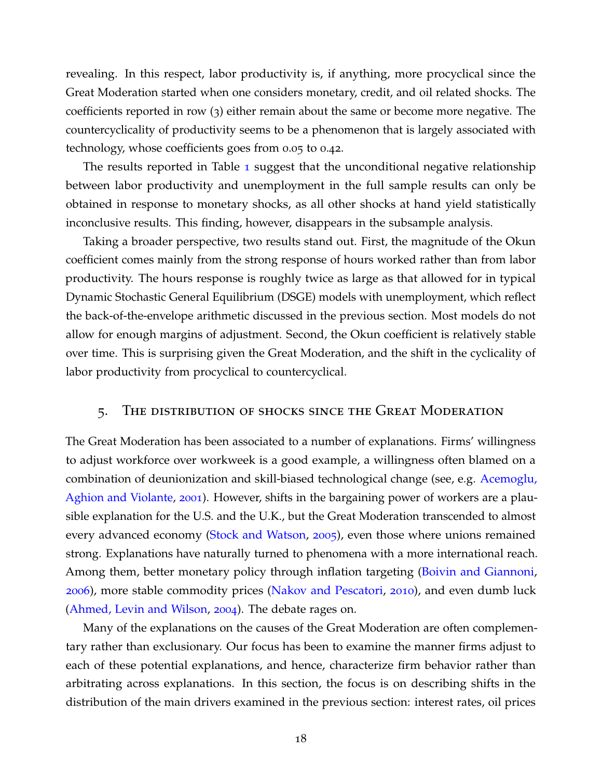revealing. In this respect, labor productivity is, if anything, more procyclical since the Great Moderation started when one considers monetary, credit, and oil related shocks. The coefficients reported in row (3) either remain about the same or become more negative. The countercyclicality of productivity seems to be a phenomenon that is largely associated with technology, whose coefficients goes from 0.05 to 0.42.

The results reported in Table [1](#page-13-0) suggest that the unconditional negative relationship between labor productivity and unemployment in the full sample results can only be obtained in response to monetary shocks, as all other shocks at hand yield statistically inconclusive results. This finding, however, disappears in the subsample analysis.

Taking a broader perspective, two results stand out. First, the magnitude of the Okun coefficient comes mainly from the strong response of hours worked rather than from labor productivity. The hours response is roughly twice as large as that allowed for in typical Dynamic Stochastic General Equilibrium (DSGE) models with unemployment, which reflect the back-of-the-envelope arithmetic discussed in the previous section. Most models do not allow for enough margins of adjustment. Second, the Okun coefficient is relatively stable over time. This is surprising given the Great Moderation, and the shift in the cyclicality of labor productivity from procyclical to countercyclical.

## 5. The distribution of shocks since the Great Moderation

The Great Moderation has been associated to a number of explanations. Firms' willingness to adjust workforce over workweek is a good example, a willingness often blamed on a combination of deunionization and skill-biased technological change (see, e.g. [Acemoglu,](#page-26-7) [Aghion and Violante,](#page-26-7) [2001](#page-26-7)). However, shifts in the bargaining power of workers are a plausible explanation for the U.S. and the U.K., but the Great Moderation transcended to almost every advanced economy [\(Stock and Watson,](#page-30-8) [2005](#page-30-8)), even those where unions remained strong. Explanations have naturally turned to phenomena with a more international reach. Among them, better monetary policy through inflation targeting [\(Boivin and Giannoni,](#page-27-8) [2006](#page-27-8)), more stable commodity prices [\(Nakov and Pescatori,](#page-29-11) [2010](#page-29-11)), and even dumb luck [\(Ahmed, Levin and Wilson,](#page-26-8) [2004](#page-26-8)). The debate rages on.

Many of the explanations on the causes of the Great Moderation are often complementary rather than exclusionary. Our focus has been to examine the manner firms adjust to each of these potential explanations, and hence, characterize firm behavior rather than arbitrating across explanations. In this section, the focus is on describing shifts in the distribution of the main drivers examined in the previous section: interest rates, oil prices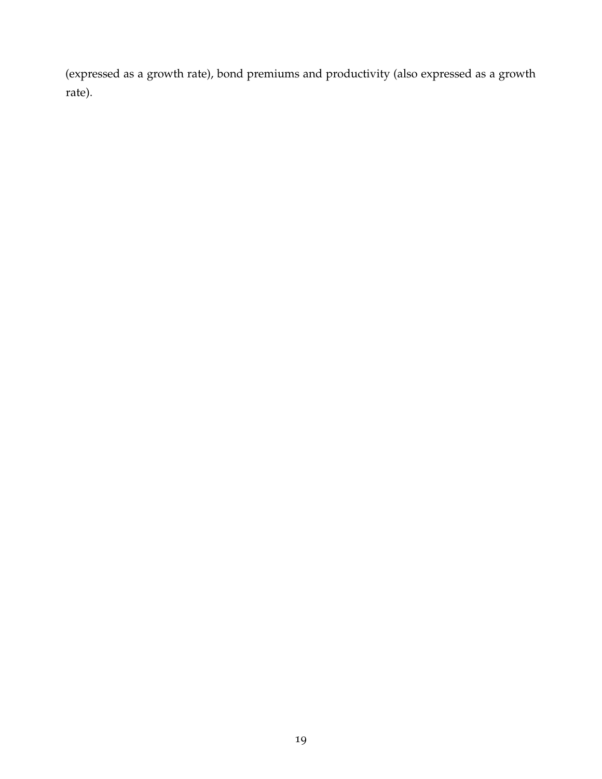(expressed as a growth rate), bond premiums and productivity (also expressed as a growth rate).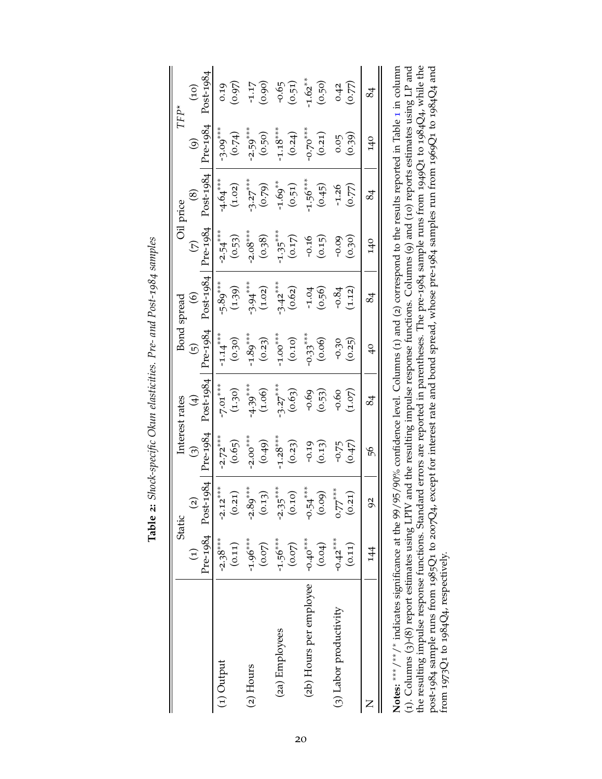<span id="page-19-0"></span>

|                                                                                                                                                                                                                                                                                                                                                                                                                                                                                                                                                                                                    |                                   | Static             |                          | Interest rates |               | Bond spread                                                                                           |               | Oil price     |                        | TFP*      |
|----------------------------------------------------------------------------------------------------------------------------------------------------------------------------------------------------------------------------------------------------------------------------------------------------------------------------------------------------------------------------------------------------------------------------------------------------------------------------------------------------------------------------------------------------------------------------------------------------|-----------------------------------|--------------------|--------------------------|----------------|---------------|-------------------------------------------------------------------------------------------------------|---------------|---------------|------------------------|-----------|
|                                                                                                                                                                                                                                                                                                                                                                                                                                                                                                                                                                                                    | $\begin{pmatrix} 1 \end{pmatrix}$ | নি                 | $\widehat{\mathfrak{c}}$ | $\widehat{A}$  | $\widehat{5}$ | $\odot$                                                                                               | $\mathcal{E}$ | $\circledast$ | $\widehat{\mathbf{c}}$ | (10)      |
|                                                                                                                                                                                                                                                                                                                                                                                                                                                                                                                                                                                                    |                                   | Pre-1984 Post-1984 | Pre-1984                 | Post-1984      | Pre-1984      | Post-1984                                                                                             | Pre-1984      | Post-1984     | Pre-1984               | Post-1984 |
| (1) Output                                                                                                                                                                                                                                                                                                                                                                                                                                                                                                                                                                                         | $-2.38***$                        | $-2.12***$         | $-2.72***$               | $-7.01***$     | $-1.14***$    | $-5.89***$                                                                                            | $-2.54***$    | $-4.64$ ***   | $-3.09***$             | 0.19      |
|                                                                                                                                                                                                                                                                                                                                                                                                                                                                                                                                                                                                    | (0.11)                            | (0.21)             | (0.65)                   | (1.30)         | (0.30)        | (4.39)                                                                                                | (0.53)        | (1.02)        | (0.74)                 | (26.0)    |
| $(2)$ Hours                                                                                                                                                                                                                                                                                                                                                                                                                                                                                                                                                                                        | $-1.96***$                        | $-2.89$ ***        | $-2.00^{***}$            | $-4.39***$     | $-1.89***$    | $-3.94***$                                                                                            | $-2.08***$    | $-3.27***$    | $-2.59***$             | $-1.17$   |
|                                                                                                                                                                                                                                                                                                                                                                                                                                                                                                                                                                                                    | (0.07)                            | (0.13)             | $(6 + 0)$                | (1.06)         | (0.23)        | (1.02)                                                                                                | (0.38)        | (6.79)        | (0.50)                 | (0.90)    |
| (2a) Employees                                                                                                                                                                                                                                                                                                                                                                                                                                                                                                                                                                                     | $-1.56***$                        | $-2.35***$         | $-1.28***$               | $-3.27***$     | $-1.00^{***}$ | $-3.42***$                                                                                            | $-1.35***$    | $-1.69**$     | $-1.18***$             | $-0.65$   |
|                                                                                                                                                                                                                                                                                                                                                                                                                                                                                                                                                                                                    | (0.07)                            | (0.10)             | (0.23)                   | (0.63)         | (0.10)        | (0.62)                                                                                                | (0.17)        | (0.51)        | (0.24)                 | (0.51)    |
| (2b) Hours per employee                                                                                                                                                                                                                                                                                                                                                                                                                                                                                                                                                                            | $-0.40$ **                        | $-0.54$ ***        | $-0.19$                  | $-0.69$        | $-0.33***$    | $-1.04$                                                                                               | $-0.16$       | $-1.56***$    | $-0.70$ <sup>***</sup> | $-1.62**$ |
|                                                                                                                                                                                                                                                                                                                                                                                                                                                                                                                                                                                                    | (0.04)                            | (0.09)             | (6.13)                   | (0.53)         | (0.06)        | (0.56)                                                                                                | (0.15)        | (0.45)        | (0.21)                 | (0.50)    |
| (3) Labor productivity                                                                                                                                                                                                                                                                                                                                                                                                                                                                                                                                                                             | $-0.42$ <sup>***</sup>            | $0.77***$          | $-0.75$                  | $-0.60$        | $-0.30$       | $-0.84$                                                                                               | $-0.09$       | $-1.26$       | 0.05                   | 0.42      |
|                                                                                                                                                                                                                                                                                                                                                                                                                                                                                                                                                                                                    | (0.11)                            | (0.21)             | (6.47)                   | (1.07)         | (0.25)        | (1.12)                                                                                                | (0.30)        | (0.77)        | (0.39)                 | (2.5)     |
|                                                                                                                                                                                                                                                                                                                                                                                                                                                                                                                                                                                                    | 144                               | $\overline{a}$     | 56                       | 84             | $\frac{1}{4}$ | 84                                                                                                    | 140           | 84            | 140                    | 84        |
| the resulting impulse response functions. Standard errors are reported in parentheses. The pre-1984 sample runs from 1949Q1 to 1984Q4, while the<br>Lock dock to Danis control design to DDC c + r DDC c + r Check to the trees that the contrate the second to compute the second to DDC r second to DDC r second to DDC r second to DDC r second the process contrate the second<br>Notes: *** /* indicates significance at the 99/95/90% confidence level. Columns (1) and (2) correspond to the results reported in Table 1 in column<br>$(1)$ . Columns $(3)-(8)$ report estimates using LPIV |                                   |                    |                          |                |               | and the resulting impulse response functions. Columns $(g)$ and $(10)$ reports estimates using LP and |               |               |                        |           |

post-1984 sample runs from 1985Q1 to 2007Q4, except for interest rate and bond spread, whose pre-1984 samples run from 1969Q1 to 1984Q4 and

post-1984 sample runs from 1985Q1 to 2007Q4, except for interest rate and bond spread, whose pre-1984 samples run from 1969Q1 to 1984Q4 and

from 1973 $Q$ 1 to 1984 $Q$ 4, respectively.

from 1973Q1 to 1984Q4, respectively.

Table 2: Shock-specific Okun elasticities. Pre- and Post-1984 samples **Table 2:** *Shock-specific Okun elasticities. Pre- and Post-1984 samples*

20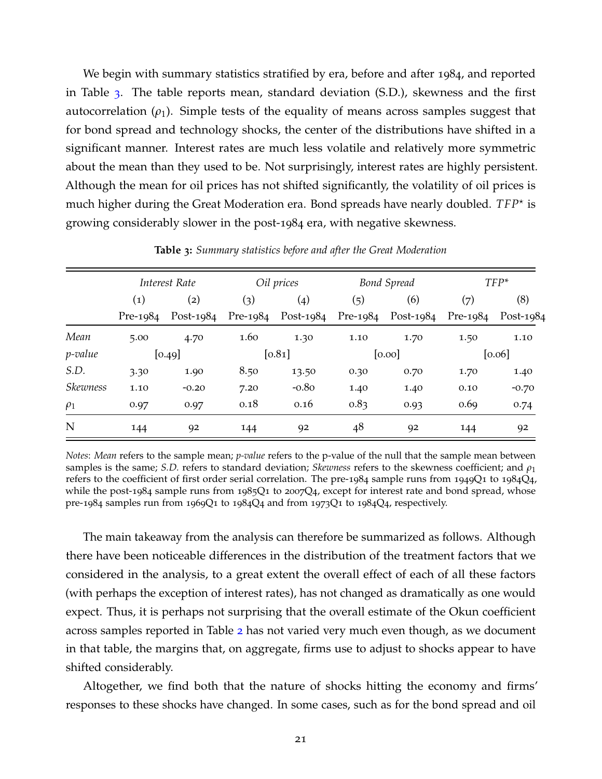We begin with summary statistics stratified by era, before and after 1984, and reported in Table [3](#page-20-0). The table reports mean, standard deviation (S.D.), skewness and the first autocorrelation  $(\rho_1)$ . Simple tests of the equality of means across samples suggest that for bond spread and technology shocks, the center of the distributions have shifted in a significant manner. Interest rates are much less volatile and relatively more symmetric about the mean than they used to be. Not surprisingly, interest rates are highly persistent. Although the mean for oil prices has not shifted significantly, the volatility of oil prices is much higher during the Great Moderation era. Bond spreads have nearly doubled. *TFP*<sup>\*</sup> is growing considerably slower in the post-1984 era, with negative skewness.

<span id="page-20-0"></span>

|                        |                   | Interest Rate     |      | Oil prices         |      | <b>Bond Spread</b> |          | $TFP*$    |
|------------------------|-------------------|-------------------|------|--------------------|------|--------------------|----------|-----------|
|                        | $\left( 1\right)$ | $\left( 2\right)$ | (3)  | (4)                | (5)  | (6)                | (7)      | (8)       |
|                        | Pre-1984          | Post-1984         |      | Pre-1984 Post-1984 |      | Pre-1984 Post-1984 | Pre-1984 | Post-1984 |
| Mean                   | 5.00              | 4.70              | 1.60 | 1.30               | 1.10 | 1.70               | 1.50     | 1.10      |
| p-value                |                   | [0.49]            |      | [0.81]             |      | [0.00]             |          | [0.06]    |
| S.D.                   | 3.30              | 1.90              | 8.50 | 13.50              | 0.30 | 0.70               | 1.70     | 1.40      |
| <i><b>Skewness</b></i> | 1.10              | $-0.20$           | 7.20 | $-0.80$            | 1.40 | 1.40               | 0.10     | $-0.70$   |
| $\rho_1$               | 0.97              | 0.97              | 0.18 | 0.16               | 0.83 | 0.93               | 0.69     | 0.74      |
| N                      | 144               | 92                | 144  | 92                 | 48   | 92                 | 144      | 92        |

**Table 3:** *Summary statistics before and after the Great Moderation*

*Notes*: *Mean* refers to the sample mean; *p-value* refers to the p-value of the null that the sample mean between samples is the same; *S.D.* refers to standard deviation; *Skewness* refers to the skewness coefficient; and *ρ*<sup>1</sup> refers to the coefficient of first order serial correlation. The pre-1984 sample runs from 1949Q1 to 1984Q4, while the post-1984 sample runs from 1985Q1 to 2007Q4, except for interest rate and bond spread, whose pre-1984 samples run from 1969Q1 to 1984Q4 and from 1973Q1 to 1984Q4, respectively.

The main takeaway from the analysis can therefore be summarized as follows. Although there have been noticeable differences in the distribution of the treatment factors that we considered in the analysis, to a great extent the overall effect of each of all these factors (with perhaps the exception of interest rates), has not changed as dramatically as one would expect. Thus, it is perhaps not surprising that the overall estimate of the Okun coefficient across samples reported in Table [2](#page-19-0) has not varied very much even though, as we document in that table, the margins that, on aggregate, firms use to adjust to shocks appear to have shifted considerably.

Altogether, we find both that the nature of shocks hitting the economy and firms' responses to these shocks have changed. In some cases, such as for the bond spread and oil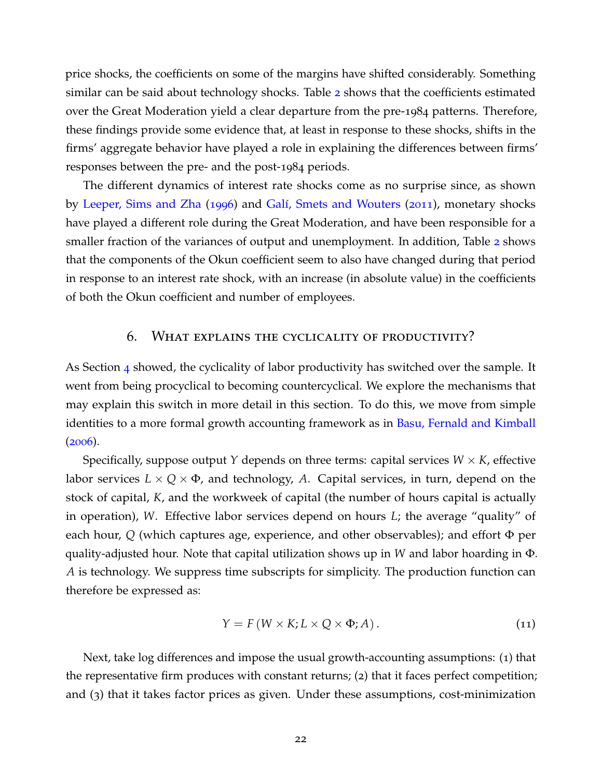price shocks, the coefficients on some of the margins have shifted considerably. Something similar can be said about technology shocks. Table [2](#page-19-0) shows that the coefficients estimated over the Great Moderation yield a clear departure from the pre-1984 patterns. Therefore, these findings provide some evidence that, at least in response to these shocks, shifts in the firms' aggregate behavior have played a role in explaining the differences between firms' responses between the pre- and the post-1984 periods.

The different dynamics of interest rate shocks come as no surprise since, as shown by [Leeper, Sims and Zha](#page-29-12) ([1996](#page-29-12)) and Galí, Smets and Wouters ([2011](#page-28-5)), monetary shocks have played a different role during the Great Moderation, and have been responsible for a smaller fraction of the variances of output and unemployment. In addition, Table [2](#page-19-0) shows that the components of the Okun coefficient seem to also have changed during that period in response to an interest rate shock, with an increase (in absolute value) in the coefficients of both the Okun coefficient and number of employees.

#### 6. What explains the cyclicality of productivity?

As Section [4](#page-15-0) showed, the cyclicality of labor productivity has switched over the sample. It went from being procyclical to becoming countercyclical. We explore the mechanisms that may explain this switch in more detail in this section. To do this, we move from simple identities to a more formal growth accounting framework as in [Basu, Fernald and Kimball](#page-27-5)  $(2006).$  $(2006).$  $(2006).$ 

Specifically, suppose output *Y* depends on three terms: capital services  $W \times K$ , effective labor services  $L \times Q \times \Phi$ , and technology, A. Capital services, in turn, depend on the stock of capital, *K*, and the workweek of capital (the number of hours capital is actually in operation), *W*. Effective labor services depend on hours *L*; the average "quality" of each hour, *Q* (which captures age, experience, and other observables); and effort Φ per quality-adjusted hour. Note that capital utilization shows up in *W* and labor hoarding in Φ. *A* is technology. We suppress time subscripts for simplicity. The production function can therefore be expressed as:

<span id="page-21-0"></span>
$$
Y = F(W \times K; L \times Q \times \Phi; A). \tag{11}
$$

Next, take log differences and impose the usual growth-accounting assumptions: (1) that the representative firm produces with constant returns; (2) that it faces perfect competition; and (3) that it takes factor prices as given. Under these assumptions, cost-minimization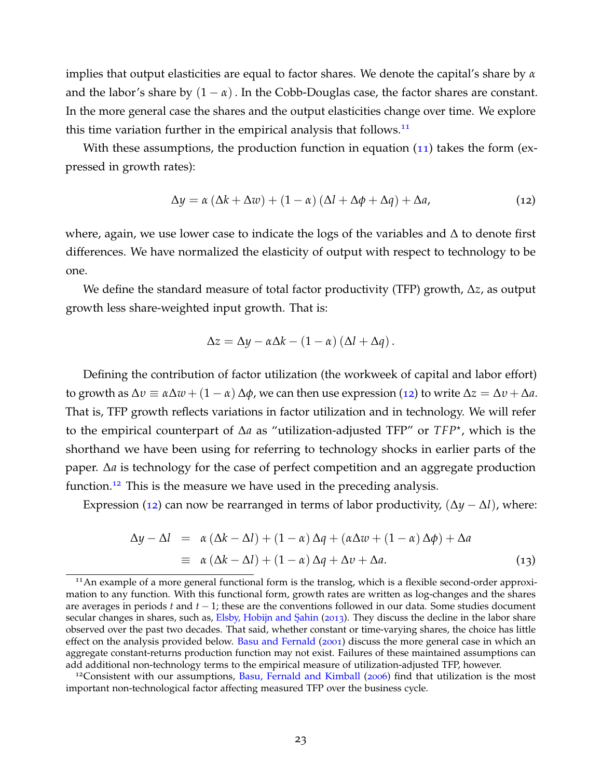implies that output elasticities are equal to factor shares. We denote the capital's share by *α* and the labor's share by  $(1 - \alpha)$ . In the Cobb-Douglas case, the factor shares are constant. In the more general case the shares and the output elasticities change over time. We explore this time variation further in the empirical analysis that follows. $<sup>11</sup>$  $<sup>11</sup>$  $<sup>11</sup>$ </sup>

With these assumptions, the production function in equation ([11](#page-21-0)) takes the form (expressed in growth rates):

<span id="page-22-1"></span>
$$
\Delta y = \alpha (\Delta k + \Delta w) + (1 - \alpha) (\Delta l + \Delta \phi + \Delta q) + \Delta a, \tag{12}
$$

where, again, we use lower case to indicate the logs of the variables and  $\Delta$  to denote first differences. We have normalized the elasticity of output with respect to technology to be one.

We define the standard measure of total factor productivity (TFP) growth, ∆*z*, as output growth less share-weighted input growth. That is:

$$
\Delta z = \Delta y - \alpha \Delta k - (1 - \alpha) (\Delta l + \Delta q).
$$

Defining the contribution of factor utilization (the workweek of capital and labor effort) to growth as ∆*υ* ≡ *α*∆*w* + (1 − *α*) ∆*φ*, we can then use expression ([12](#page-22-1)) to write ∆*z* = ∆*υ* + ∆*a*. That is, TFP growth reflects variations in factor utilization and in technology. We will refer to the empirical counterpart of ∆*a* as "utilization-adjusted TFP" or *TFP*? , which is the shorthand we have been using for referring to technology shocks in earlier parts of the paper. ∆*a* is technology for the case of perfect competition and an aggregate production function.<sup>[12](#page-22-2)</sup> This is the measure we have used in the preceding analysis.

Expression ([12](#page-22-1)) can now be rearranged in terms of labor productivity,  $(\Delta y - \Delta l)$ , where:

<span id="page-22-3"></span>
$$
\Delta y - \Delta l = \alpha (\Delta k - \Delta l) + (1 - \alpha) \Delta q + (\alpha \Delta w + (1 - \alpha) \Delta \phi) + \Delta a
$$
  

$$
\equiv \alpha (\Delta k - \Delta l) + (1 - \alpha) \Delta q + \Delta v + \Delta a.
$$
 (13)

<span id="page-22-0"></span> $11$ An example of a more general functional form is the translog, which is a flexible second-order approximation to any function. With this functional form, growth rates are written as log-changes and the shares are averages in periods *t* and *t* − 1; these are the conventions followed in our data. Some studies document secular changes in shares, such as, [Elsby, Hobijn and](#page-27-9) Sahin ([2013](#page-27-9)). They discuss the decline in the labor share observed over the past two decades. That said, whether constant or time-varying shares, the choice has little effect on the analysis provided below. [Basu and Fernald](#page-26-6) ([2001](#page-26-6)) discuss the more general case in which an aggregate constant-returns production function may not exist. Failures of these maintained assumptions can add additional non-technology terms to the empirical measure of utilization-adjusted TFP, however.

<span id="page-22-2"></span> $12$ Consistent with our assumptions, [Basu, Fernald and Kimball](#page-27-5) ([2006](#page-27-5)) find that utilization is the most important non-technological factor affecting measured TFP over the business cycle.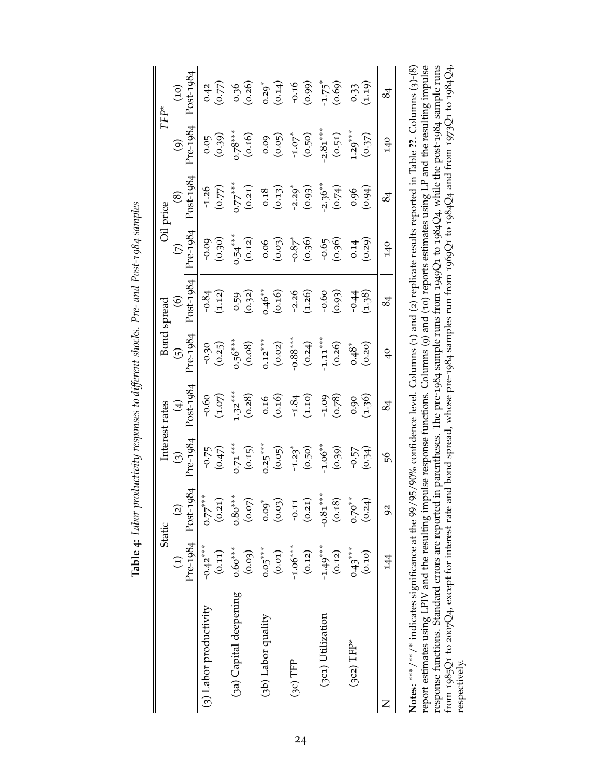<span id="page-23-0"></span>

|                                                                                                                                                                                                                                                             |                                               | Static                      |                                    | Interest rates             |                                      | Bond spread                                                                                                                                                                                                      |                           | Oil price                  |                                       | $TFP^*$              |
|-------------------------------------------------------------------------------------------------------------------------------------------------------------------------------------------------------------------------------------------------------------|-----------------------------------------------|-----------------------------|------------------------------------|----------------------------|--------------------------------------|------------------------------------------------------------------------------------------------------------------------------------------------------------------------------------------------------------------|---------------------------|----------------------------|---------------------------------------|----------------------|
|                                                                                                                                                                                                                                                             | Pre-1984<br>$\begin{pmatrix} 1 \end{pmatrix}$ | Post-1984<br>$\overline{c}$ | Pre-1984<br>$\widehat{\mathbb{C}}$ | $Post-1984$<br>$\bigoplus$ | $Pre-1984$<br>$\widehat{\mathbb{E}}$ | Post-1984<br>$\circledcirc$                                                                                                                                                                                      | Pre-1984<br>$\mathcal{L}$ | Post-1984<br>$\circledast$ | $Pre-1084$<br>$\widehat{\mathcal{G}}$ | Post-1984<br>(10)    |
| $(3)$ Labor productivity                                                                                                                                                                                                                                    | $-0.42$ <sup>***</sup>                        | $0.77***$                   | $-0.75$                            | $-0.60$                    | $-0.30$                              | $-0.84$                                                                                                                                                                                                          | $-0.09$                   | $-1.26$                    | 0.05                                  | 0.42                 |
|                                                                                                                                                                                                                                                             | (0.11)                                        | (0.21)                      | (0.47)                             | (1.07)                     | (0.25)                               | (1.12)                                                                                                                                                                                                           | (0.30)                    | (0.77)                     | (0.39)                                | (6.77)               |
| (3a) Capital deepening                                                                                                                                                                                                                                      | $0.60***$                                     | $0.80***$                   | $0.71***$                          | $1.32***$                  | $0.56***$                            | 0.59                                                                                                                                                                                                             | $0.54***$                 | $0.77$ <sup>***</sup>      | $0.78***$                             | 0.36                 |
|                                                                                                                                                                                                                                                             | (6.03)                                        | (0.07)                      | (0.15)                             | (0.28)                     | (0.08)                               | (0.32)                                                                                                                                                                                                           | (0.12)                    | (0.21)                     | (0.16)                                | (0.26)               |
| (3b) Labor quality                                                                                                                                                                                                                                          | $0.05***$                                     | $0.09*$                     | $0.25***$                          | 0.16                       | $0.12***$                            | $0.46***$                                                                                                                                                                                                        | 0.06                      | 0.18                       | 0.09                                  | $0.29*$              |
|                                                                                                                                                                                                                                                             | (0.01)                                        | (6.03)                      | (0.05)                             | (0.16)                     | (0.02)                               | (0.16)                                                                                                                                                                                                           | (6.03)                    | (0.13)                     | (0.05)                                | (0.14)               |
| $(3c)$ TFP                                                                                                                                                                                                                                                  | $-1.06***$                                    | $-0.11$                     | $-1.23$ <sup>*</sup>               | $-1.84$                    | $-0.88***$                           | $-2.26$                                                                                                                                                                                                          | $-0.87*$                  | $-2.29$ <sup>*</sup>       |                                       | $-0.16$              |
|                                                                                                                                                                                                                                                             | (0.12)                                        | (0.21)                      | (0.50)                             | (1.10)                     | (0.24)                               | (1.26)                                                                                                                                                                                                           | (0.36)                    | (6.0)                      | $-1.07$ <sup>*</sup><br>(0.50)        | (6.99)               |
| (3c1) Utilization                                                                                                                                                                                                                                           | $-1.49$ ***                                   | $-0.81***$                  | $-1.06**$                          | $-1.09$                    | $-1.11***$                           | $-0.60$                                                                                                                                                                                                          | $-0.65$                   | $-2.36***$                 | $-2.81***$                            | $-1.75$ <sup>*</sup> |
|                                                                                                                                                                                                                                                             | (0.12)                                        | (0.18)                      | (0.39)                             | (0.78)                     | (0.26)                               | (6.93)                                                                                                                                                                                                           | (0.36)                    | (6.74)                     | (0.51)                                | (0.69)               |
| (3c2) TFP*                                                                                                                                                                                                                                                  | $0.43***$                                     | $0.70**$                    | $-0.57$                            | 0.90                       | $0.48*$                              | $-0.44$                                                                                                                                                                                                          | 0.14                      | 0.96                       | $1.29***$                             | 0.33                 |
|                                                                                                                                                                                                                                                             | (0.10)                                        | (0.24)                      | (0.34)                             | (1.36)                     | (0.20)                               | (1.38)                                                                                                                                                                                                           | (0.29)                    | (6.94)                     | (0.37)                                | (1.19)               |
|                                                                                                                                                                                                                                                             | 144                                           | 92                          | 56                                 | 84                         | $\frac{1}{2}$                        | 84                                                                                                                                                                                                               | 140                       | 84                         | 140                                   | 84                   |
| response functions. Standard errors are reported in parentheses. The pre-1984 sample runs from 1949Q1 to 1984Q4, while the post-1984 sample runs<br>Notes: ***/**/* indicates significance at the $99/$<br>report estimates using LPIV and the resulting im |                                               |                             |                                    |                            |                                      | ppulse response functions. Columns $(g)$ and $(10)$ reports estimates using LP and the resulting impulse<br>95/90% confidence level. Columns (1) and (2) replicate results reported in Table ??. Columns (3)-(8) |                           |                            |                                       |                      |

report estimates using LPIV and the resulting impulse response functions. Columns (9) and (10) reports estimates using LP and the resulting impulse response functions. Standard errors are reported in parentheses. The pre-1984 sample runs from 1949Q1 to 1984Q4, while the post-1984 sample runs from 1985Q1 to 2007Q4, except for interest rate and bond spread, whose pre-1984 samples run from 1969Q1 to 1984Q4 and from 1973Q1 to 1984Q4,

from 1985Q1 to 2007Q4, except for interest rate and bond spread, whose pre-1984 samples run from 1969Q1 to 1984Q4 and from 1973Q1 to 1984Q4,

respectively.

respectively.

Table 4: Labor productivity responses to different shocks. Pre- and Post-1984 samples **Table 4:** Labor productivity responses to different shocks. Pre- and Post-1984 samples

24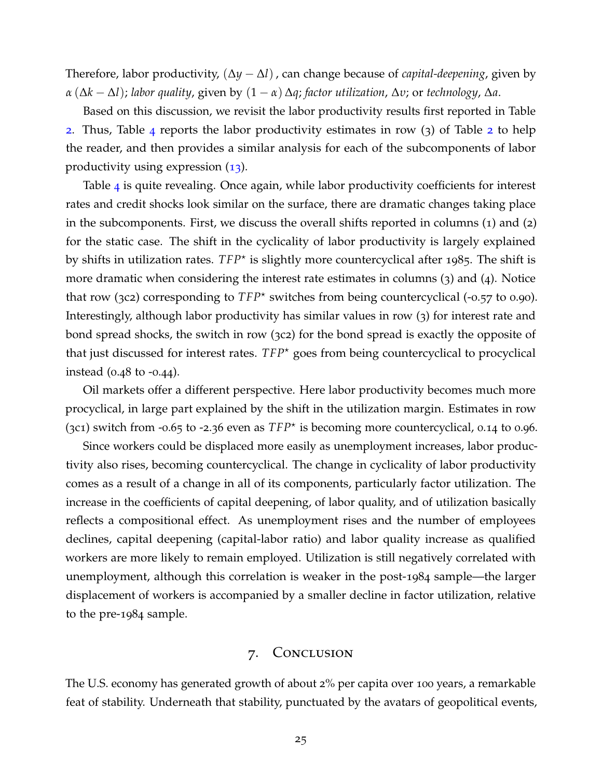Therefore, labor productivity, (∆*y* − ∆*l*), can change because of *capital-deepening*, given by *α* (∆*k* − ∆*l*); *labor quality*, given by (1 − *α*) ∆*q*; *factor utilization*, ∆*υ*; or *technology*, ∆*a*.

Based on this discussion, we revisit the labor productivity results first reported in Table [2](#page-19-0). Thus, Table [4](#page-23-0) reports the labor productivity estimates in row (3) of Table [2](#page-19-0) to help the reader, and then provides a similar analysis for each of the subcomponents of labor productivity using expression  $(13)$  $(13)$  $(13)$ .

Table [4](#page-23-0) is quite revealing. Once again, while labor productivity coefficients for interest rates and credit shocks look similar on the surface, there are dramatic changes taking place in the subcomponents. First, we discuss the overall shifts reported in columns (1) and (2) for the static case. The shift in the cyclicality of labor productivity is largely explained by shifts in utilization rates.  $TFP^*$  is slightly more countercyclical after 1985. The shift is more dramatic when considering the interest rate estimates in columns  $(3)$  and  $(4)$ . Notice that row (3c2) corresponding to  $TFP*$  switches from being countercyclical (-0.57 to 0.90). Interestingly, although labor productivity has similar values in row (3) for interest rate and bond spread shocks, the switch in row (3c2) for the bond spread is exactly the opposite of that just discussed for interest rates. *TFP*? goes from being countercyclical to procyclical instead (0.48 to -0.44).

Oil markets offer a different perspective. Here labor productivity becomes much more procyclical, in large part explained by the shift in the utilization margin. Estimates in row (3c1) switch from  $-0.65$  to  $-2.36$  even as  $TFP*$  is becoming more countercyclical, 0.14 to 0.96.

Since workers could be displaced more easily as unemployment increases, labor productivity also rises, becoming countercyclical. The change in cyclicality of labor productivity comes as a result of a change in all of its components, particularly factor utilization. The increase in the coefficients of capital deepening, of labor quality, and of utilization basically reflects a compositional effect. As unemployment rises and the number of employees declines, capital deepening (capital-labor ratio) and labor quality increase as qualified workers are more likely to remain employed. Utilization is still negatively correlated with unemployment, although this correlation is weaker in the post-1984 sample—the larger displacement of workers is accompanied by a smaller decline in factor utilization, relative to the pre-1984 sample.

# 7. Conclusion

The U.S. economy has generated growth of about 2% per capita over 100 years, a remarkable feat of stability. Underneath that stability, punctuated by the avatars of geopolitical events,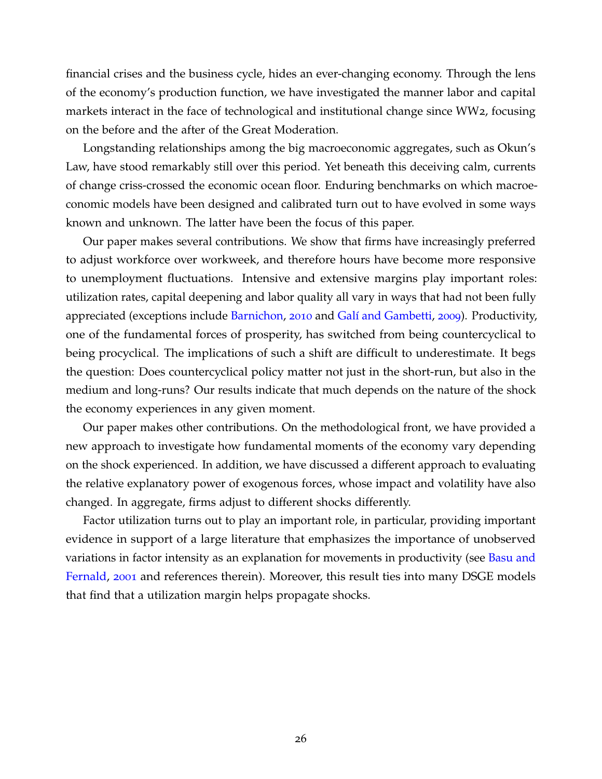financial crises and the business cycle, hides an ever-changing economy. Through the lens of the economy's production function, we have investigated the manner labor and capital markets interact in the face of technological and institutional change since WW2, focusing on the before and the after of the Great Moderation.

Longstanding relationships among the big macroeconomic aggregates, such as Okun's Law, have stood remarkably still over this period. Yet beneath this deceiving calm, currents of change criss-crossed the economic ocean floor. Enduring benchmarks on which macroeconomic models have been designed and calibrated turn out to have evolved in some ways known and unknown. The latter have been the focus of this paper.

Our paper makes several contributions. We show that firms have increasingly preferred to adjust workforce over workweek, and therefore hours have become more responsive to unemployment fluctuations. Intensive and extensive margins play important roles: utilization rates, capital deepening and labor quality all vary in ways that had not been fully appreciated (exceptions include [Barnichon,](#page-26-4) [2010](#page-26-4) and Galí and Gambetti, [2009](#page-28-10)). Productivity, one of the fundamental forces of prosperity, has switched from being countercyclical to being procyclical. The implications of such a shift are difficult to underestimate. It begs the question: Does countercyclical policy matter not just in the short-run, but also in the medium and long-runs? Our results indicate that much depends on the nature of the shock the economy experiences in any given moment.

Our paper makes other contributions. On the methodological front, we have provided a new approach to investigate how fundamental moments of the economy vary depending on the shock experienced. In addition, we have discussed a different approach to evaluating the relative explanatory power of exogenous forces, whose impact and volatility have also changed. In aggregate, firms adjust to different shocks differently.

Factor utilization turns out to play an important role, in particular, providing important evidence in support of a large literature that emphasizes the importance of unobserved variations in factor intensity as an explanation for movements in productivity (see [Basu and](#page-26-6) [Fernald,](#page-26-6) [2001](#page-26-6) and references therein). Moreover, this result ties into many DSGE models that find that a utilization margin helps propagate shocks.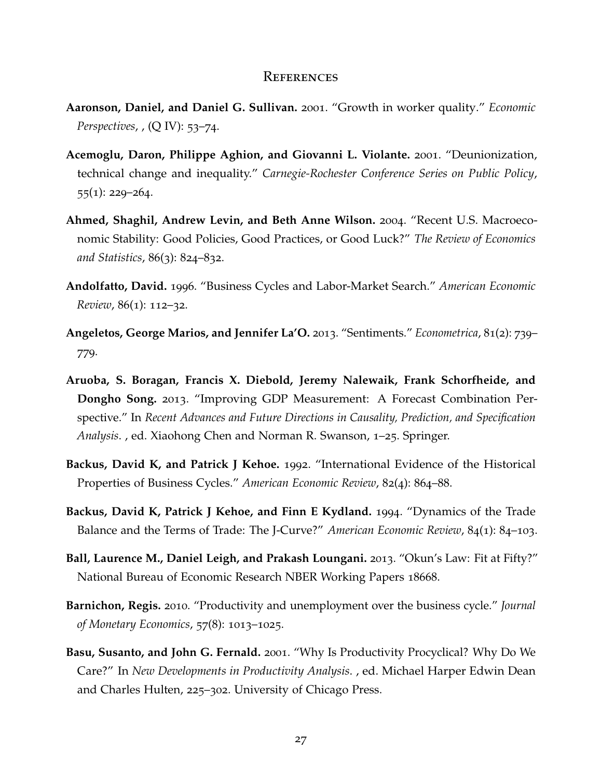#### **REFERENCES**

- <span id="page-26-9"></span>**Aaronson, Daniel, and Daniel G. Sullivan.** 2001. "Growth in worker quality." *Economic Perspectives*, , (Q IV): 53–74.
- <span id="page-26-7"></span>**Acemoglu, Daron, Philippe Aghion, and Giovanni L. Violante.** 2001. "Deunionization, technical change and inequality." *Carnegie-Rochester Conference Series on Public Policy*,  $55(1)$ : 229–264.
- <span id="page-26-8"></span>**Ahmed, Shaghil, Andrew Levin, and Beth Anne Wilson.** 2004. "Recent U.S. Macroeconomic Stability: Good Policies, Good Practices, or Good Luck?" *The Review of Economics and Statistics*, 86(3): 824–832.
- <span id="page-26-3"></span>**Andolfatto, David.** 1996. "Business Cycles and Labor-Market Search." *American Economic Review*, 86(1): 112–32.
- <span id="page-26-10"></span>**Angeletos, George Marios, and Jennifer La'O.** 2013. "Sentiments." *Econometrica*, 81(2): 739– 779.
- <span id="page-26-5"></span>**Aruoba, S. Boragan, Francis X. Diebold, Jeremy Nalewaik, Frank Schorfheide, and Dongho Song.** 2013. "Improving GDP Measurement: A Forecast Combination Perspective." In *Recent Advances and Future Directions in Causality, Prediction, and Specification Analysis*. , ed. Xiaohong Chen and Norman R. Swanson, 1–25. Springer.
- <span id="page-26-0"></span>**Backus, David K, and Patrick J Kehoe.** 1992. "International Evidence of the Historical Properties of Business Cycles." *American Economic Review*, 82(4): 864–88.
- <span id="page-26-1"></span>**Backus, David K, Patrick J Kehoe, and Finn E Kydland.** 1994. "Dynamics of the Trade Balance and the Terms of Trade: The J-Curve?" *American Economic Review*, 84(1): 84–103.
- <span id="page-26-2"></span>**Ball, Laurence M., Daniel Leigh, and Prakash Loungani.** 2013. "Okun's Law: Fit at Fifty?" National Bureau of Economic Research NBER Working Papers 18668.
- <span id="page-26-4"></span>**Barnichon, Regis.** 2010. "Productivity and unemployment over the business cycle." *Journal of Monetary Economics*, 57(8): 1013–1025.
- <span id="page-26-6"></span>**Basu, Susanto, and John G. Fernald.** 2001. "Why Is Productivity Procyclical? Why Do We Care?" In *New Developments in Productivity Analysis*. , ed. Michael Harper Edwin Dean and Charles Hulten, 225–302. University of Chicago Press.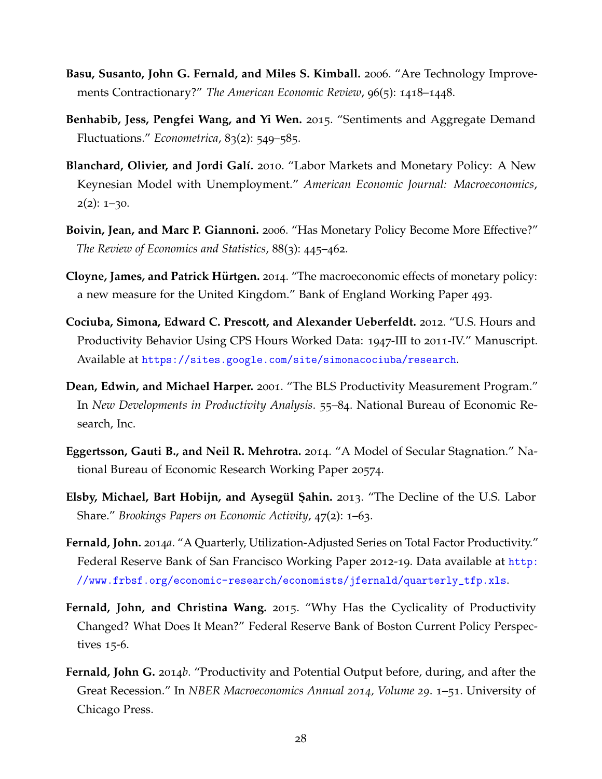- <span id="page-27-5"></span>**Basu, Susanto, John G. Fernald, and Miles S. Kimball.** 2006. "Are Technology Improvements Contractionary?" *The American Economic Review*, 96(5): 1418–1448.
- <span id="page-27-11"></span>**Benhabib, Jess, Pengfei Wang, and Yi Wen.** 2015. "Sentiments and Aggregate Demand Fluctuations." *Econometrica*, 83(2): 549–585.
- <span id="page-27-0"></span>**Blanchard, Olivier, and Jordi Gal´ı.** 2010. "Labor Markets and Monetary Policy: A New Keynesian Model with Unemployment." *American Economic Journal: Macroeconomics*,  $2(2)$ : 1–30.
- <span id="page-27-8"></span>**Boivin, Jean, and Marc P. Giannoni.** 2006. "Has Monetary Policy Become More Effective?" *The Review of Economics and Statistics*, 88(3): 445–462.
- <span id="page-27-3"></span>**Cloyne, James, and Patrick Hürtgen.** 2014. "The macroeconomic effects of monetary policy: a new measure for the United Kingdom." Bank of England Working Paper 493.
- <span id="page-27-7"></span>**Cociuba, Simona, Edward C. Prescott, and Alexander Ueberfeldt.** 2012. "U.S. Hours and Productivity Behavior Using CPS Hours Worked Data: 1947-III to 2011-IV." Manuscript. Available at <https://sites.google.com/site/simonacociuba/research>.
- <span id="page-27-10"></span>**Dean, Edwin, and Michael Harper.** 2001. "The BLS Productivity Measurement Program." In *New Developments in Productivity Analysis*. 55–84. National Bureau of Economic Research, Inc.
- <span id="page-27-1"></span>**Eggertsson, Gauti B., and Neil R. Mehrotra.** 2014. "A Model of Secular Stagnation." National Bureau of Economic Research Working Paper 20574.
- <span id="page-27-9"></span>**Elsby, Michael, Bart Hobijn, and Aysegül Şahin.** 2013. "The Decline of the U.S. Labor Share." *Brookings Papers on Economic Activity*, 47(2): 1–63.
- <span id="page-27-6"></span>**Fernald, John.** 2014*a*. "A Quarterly, Utilization-Adjusted Series on Total Factor Productivity." Federal Reserve Bank of San Francisco Working Paper 2012-19. Data available at [http:](http://www.frbsf.org/economic-research/economists/jfernald/quarterly_tfp.xls) [//www.frbsf.org/economic-research/economists/jfernald/quarterly\\_tfp.xls](http://www.frbsf.org/economic-research/economists/jfernald/quarterly_tfp.xls).
- <span id="page-27-2"></span>**Fernald, John, and Christina Wang.** 2015. "Why Has the Cyclicality of Productivity Changed? What Does It Mean?" Federal Reserve Bank of Boston Current Policy Perspectives 15-6.
- <span id="page-27-4"></span>**Fernald, John G.** 2014*b*. "Productivity and Potential Output before, during, and after the Great Recession." In *NBER Macroeconomics Annual 2014, Volume 29*. 1–51. University of Chicago Press.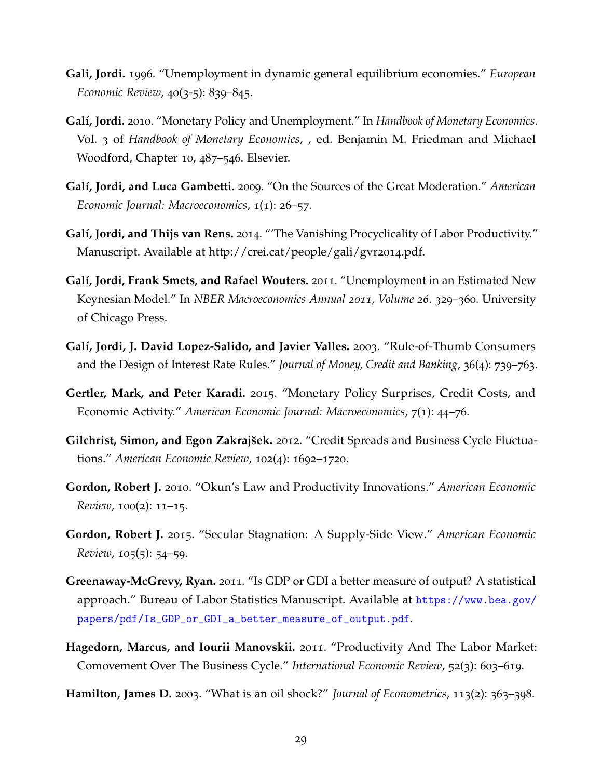- <span id="page-28-0"></span>**Gali, Jordi.** 1996. "Unemployment in dynamic general equilibrium economies." *European Economic Review*, 40(3-5): 839–845.
- <span id="page-28-1"></span>**Gal´ı, Jordi.** 2010. "Monetary Policy and Unemployment." In *Handbook of Monetary Economics*. Vol. 3 of *Handbook of Monetary Economics*, , ed. Benjamin M. Friedman and Michael Woodford, Chapter 10, 487–546. Elsevier.
- <span id="page-28-10"></span>**Gal´ı, Jordi, and Luca Gambetti.** 2009. "On the Sources of the Great Moderation." *American Economic Journal: Macroeconomics*, 1(1): 26–57.
- <span id="page-28-12"></span>Galí, Jordi, and Thijs van Rens. 2014. "The Vanishing Procyclicality of Labor Productivity." Manuscript. Available at http://crei.cat/people/gali/gvr2014.pdf.
- <span id="page-28-5"></span>**Gal´ı, Jordi, Frank Smets, and Rafael Wouters.** 2011. "Unemployment in an Estimated New Keynesian Model." In *NBER Macroeconomics Annual 2011, Volume 26*. 329–360. University of Chicago Press.
- <span id="page-28-6"></span>**Gal´ı, Jordi, J. David Lopez-Salido, and Javier Valles.** 2003. "Rule-of-Thumb Consumers and the Design of Interest Rate Rules." *Journal of Money, Credit and Banking*, 36(4): 739–763.
- <span id="page-28-7"></span>**Gertler, Mark, and Peter Karadi.** 2015. "Monetary Policy Surprises, Credit Costs, and Economic Activity." *American Economic Journal: Macroeconomics*, 7(1): 44–76.
- <span id="page-28-4"></span>Gilchrist, Simon, and Egon Zakrajšek. 2012. "Credit Spreads and Business Cycle Fluctuations." *American Economic Review*, 102(4): 1692–1720.
- <span id="page-28-11"></span>**Gordon, Robert J.** 2010. "Okun's Law and Productivity Innovations." *American Economic Review*, 100(2): 11–15.
- <span id="page-28-2"></span>**Gordon, Robert J.** 2015. "Secular Stagnation: A Supply-Side View." *American Economic Review*, 105(5): 54–59.
- <span id="page-28-8"></span>**Greenaway-McGrevy, Ryan.** 2011. "Is GDP or GDI a better measure of output? A statistical approach." Bureau of Labor Statistics Manuscript. Available at [https://www.bea.gov/](https://www.bea.gov/papers/pdf/Is_GDP_or_GDI_a_better_measure_of_output.pdf) [papers/pdf/Is\\_GDP\\_or\\_GDI\\_a\\_better\\_measure\\_of\\_output.pdf](https://www.bea.gov/papers/pdf/Is_GDP_or_GDI_a_better_measure_of_output.pdf).
- <span id="page-28-9"></span>**Hagedorn, Marcus, and Iourii Manovskii.** 2011. "Productivity And The Labor Market: Comovement Over The Business Cycle." *International Economic Review*, 52(3): 603–619.
- <span id="page-28-3"></span>**Hamilton, James D.** 2003. "What is an oil shock?" *Journal of Econometrics*, 113(2): 363–398.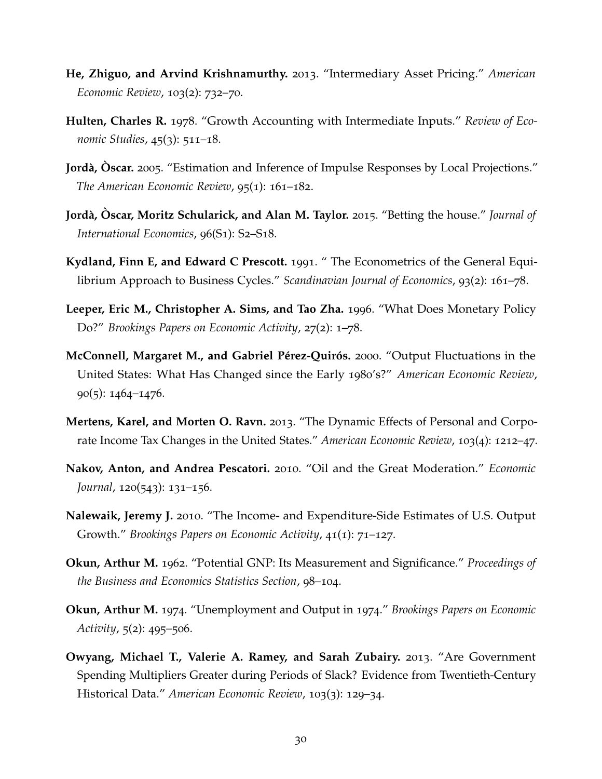- <span id="page-29-7"></span>**He, Zhiguo, and Arvind Krishnamurthy.** 2013. "Intermediary Asset Pricing." *American Economic Review*, 103(2): 732–70.
- <span id="page-29-10"></span>**Hulten, Charles R.** 1978. "Growth Accounting with Intermediate Inputs." *Review of Economic Studies*, 45(3): 511–18.
- <span id="page-29-4"></span>**Jordà, Oscar.** 2005. "Estimation and Inference of Impulse Responses by Local Projections." *The American Economic Review*, 95(1): 161–182.
- <span id="page-29-5"></span>**Jorda,` Oscar, Moritz Schularick, and Alan M. Taylor. `** 2015. "Betting the house." *Journal of International Economics*, 96(S1): S2–S18.
- <span id="page-29-1"></span>**Kydland, Finn E, and Edward C Prescott.** 1991. " The Econometrics of the General Equilibrium Approach to Business Cycles." *Scandinavian Journal of Economics*, 93(2): 161–78.
- <span id="page-29-12"></span>**Leeper, Eric M., Christopher A. Sims, and Tao Zha.** 1996. "What Does Monetary Policy Do?" *Brookings Papers on Economic Activity*, 27(2): 1–78.
- <span id="page-29-3"></span>**McConnell, Margaret M., and Gabriel Pérez-Quirós.** 2000. "Output Fluctuations in the United States: What Has Changed since the Early 1980's?" *American Economic Review*, 90(5): 1464–1476.
- <span id="page-29-8"></span>**Mertens, Karel, and Morten O. Ravn.** 2013. "The Dynamic Effects of Personal and Corporate Income Tax Changes in the United States." *American Economic Review*, 103(4): 1212–47.
- <span id="page-29-11"></span>**Nakov, Anton, and Andrea Pescatori.** 2010. "Oil and the Great Moderation." *Economic Journal*, 120(543): 131–156.
- <span id="page-29-9"></span>**Nalewaik, Jeremy J.** 2010. "The Income- and Expenditure-Side Estimates of U.S. Output Growth." *Brookings Papers on Economic Activity*, 41(1): 71–127.
- <span id="page-29-2"></span>**Okun, Arthur M.** 1962. "Potential GNP: Its Measurement and Significance." *Proceedings of the Business and Economics Statistics Section*, 98–104.
- <span id="page-29-0"></span>**Okun, Arthur M.** 1974. "Unemployment and Output in 1974." *Brookings Papers on Economic Activity*, 5(2): 495–506.
- <span id="page-29-6"></span>**Owyang, Michael T., Valerie A. Ramey, and Sarah Zubairy.** 2013. "Are Government Spending Multipliers Greater during Periods of Slack? Evidence from Twentieth-Century Historical Data." *American Economic Review*, 103(3): 129–34.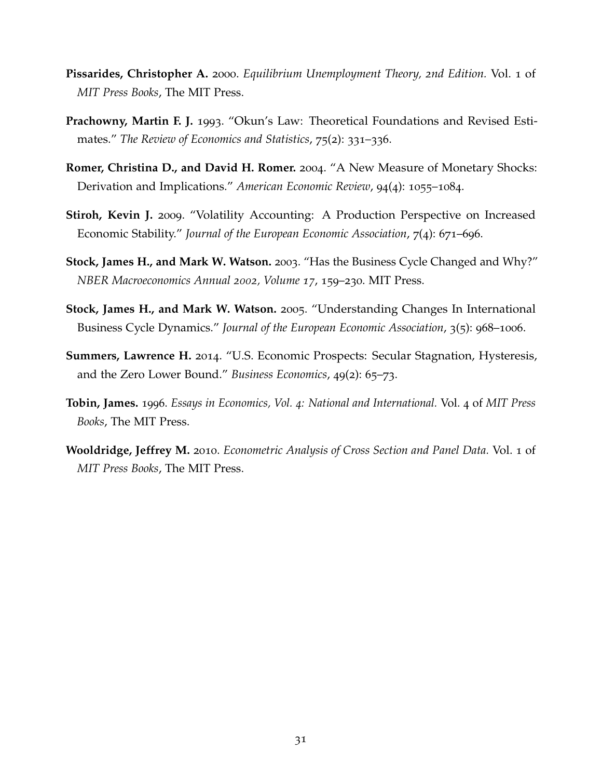- <span id="page-30-1"></span>**Pissarides, Christopher A.** 2000. *Equilibrium Unemployment Theory, 2nd Edition.* Vol. 1 of *MIT Press Books*, The MIT Press.
- <span id="page-30-5"></span>**Prachowny, Martin F. J.** 1993. "Okun's Law: Theoretical Foundations and Revised Estimates." *The Review of Economics and Statistics*, 75(2): 331–336.
- <span id="page-30-4"></span>**Romer, Christina D., and David H. Romer.** 2004. "A New Measure of Monetary Shocks: Derivation and Implications." *American Economic Review*, 94(4): 1055–1084.
- <span id="page-30-7"></span>**Stiroh, Kevin J.** 2009. "Volatility Accounting: A Production Perspective on Increased Economic Stability." *Journal of the European Economic Association*, 7(4): 671–696.
- <span id="page-30-3"></span>**Stock, James H., and Mark W. Watson.** 2003. "Has the Business Cycle Changed and Why?" *NBER Macroeconomics Annual 2002, Volume 17*, 159–230. MIT Press.
- <span id="page-30-8"></span>**Stock, James H., and Mark W. Watson.** 2005. "Understanding Changes In International Business Cycle Dynamics." *Journal of the European Economic Association*, 3(5): 968–1006.
- <span id="page-30-2"></span>**Summers, Lawrence H.** 2014. "U.S. Economic Prospects: Secular Stagnation, Hysteresis, and the Zero Lower Bound." *Business Economics*, 49(2): 65–73.
- <span id="page-30-0"></span>**Tobin, James.** 1996. *Essays in Economics, Vol. 4: National and International.* Vol. 4 of *MIT Press Books*, The MIT Press.
- <span id="page-30-6"></span>**Wooldridge, Jeffrey M.** 2010. *Econometric Analysis of Cross Section and Panel Data.* Vol. 1 of *MIT Press Books*, The MIT Press.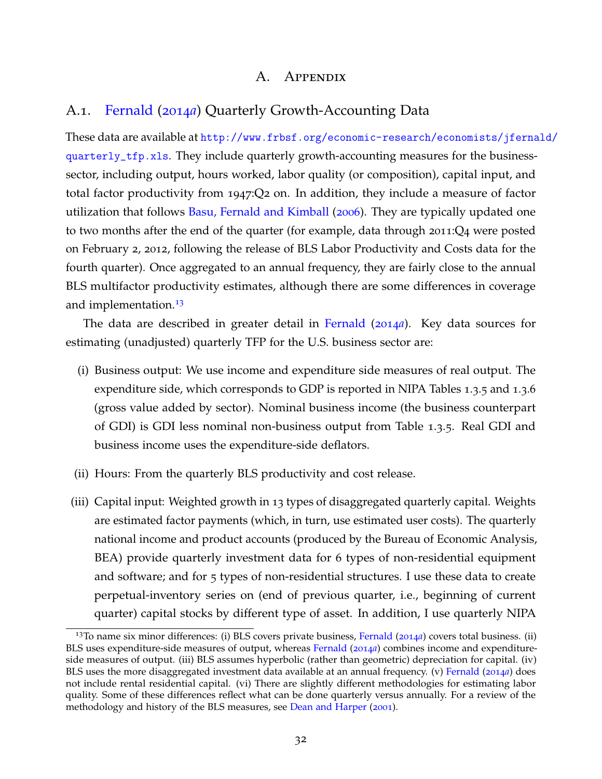## A. Appendix

# <span id="page-31-0"></span>A.1. [Fernald](#page-27-6) ([2014](#page-27-6)*a*) Quarterly Growth-Accounting Data

These data are available at [http://www.frbsf.org/economic-research/economists/jferna](http://www.frbsf.org/economic-research/economists/jfernald/quarterly_tfp.xls)ld/ [quarterly\\_tfp.xls](http://www.frbsf.org/economic-research/economists/jfernald/quarterly_tfp.xls). They include quarterly growth-accounting measures for the businesssector, including output, hours worked, labor quality (or composition), capital input, and total factor productivity from 1947:Q2 on. In addition, they include a measure of factor utilization that follows [Basu, Fernald and Kimball](#page-27-5) ([2006](#page-27-5)). They are typically updated one to two months after the end of the quarter (for example, data through 2011:Q4 were posted on February 2, 2012, following the release of BLS Labor Productivity and Costs data for the fourth quarter). Once aggregated to an annual frequency, they are fairly close to the annual BLS multifactor productivity estimates, although there are some differences in coverage and implementation.<sup>[13](#page-31-1)</sup>

The data are described in greater detail in [Fernald](#page-27-6) ([2014](#page-27-6)*a*). Key data sources for estimating (unadjusted) quarterly TFP for the U.S. business sector are:

- (i) Business output: We use income and expenditure side measures of real output. The expenditure side, which corresponds to GDP is reported in NIPA Tables 1.3.5 and 1.3.6 (gross value added by sector). Nominal business income (the business counterpart of GDI) is GDI less nominal non-business output from Table 1.3.5. Real GDI and business income uses the expenditure-side deflators.
- (ii) Hours: From the quarterly BLS productivity and cost release.
- (iii) Capital input: Weighted growth in 13 types of disaggregated quarterly capital. Weights are estimated factor payments (which, in turn, use estimated user costs). The quarterly national income and product accounts (produced by the Bureau of Economic Analysis, BEA) provide quarterly investment data for 6 types of non-residential equipment and software; and for 5 types of non-residential structures. I use these data to create perpetual-inventory series on (end of previous quarter, i.e., beginning of current quarter) capital stocks by different type of asset. In addition, I use quarterly NIPA

<span id="page-31-1"></span><sup>&</sup>lt;sup>13</sup>To name six minor differences: (i) BLS covers private business, [Fernald](#page-27-6) ([2014](#page-27-6)*a*) covers total business. (ii) BLS uses expenditure-side measures of output, whereas [Fernald](#page-27-6) ([2014](#page-27-6)*a*) combines income and expenditureside measures of output. (iii) BLS assumes hyperbolic (rather than geometric) depreciation for capital. (iv) BLS uses the more disaggregated investment data available at an annual frequency. (v) [Fernald](#page-27-6) ([2014](#page-27-6)*a*) does not include rental residential capital. (vi) There are slightly different methodologies for estimating labor quality. Some of these differences reflect what can be done quarterly versus annually. For a review of the methodology and history of the BLS measures, see [Dean and Harper](#page-27-10) ([2001](#page-27-10)).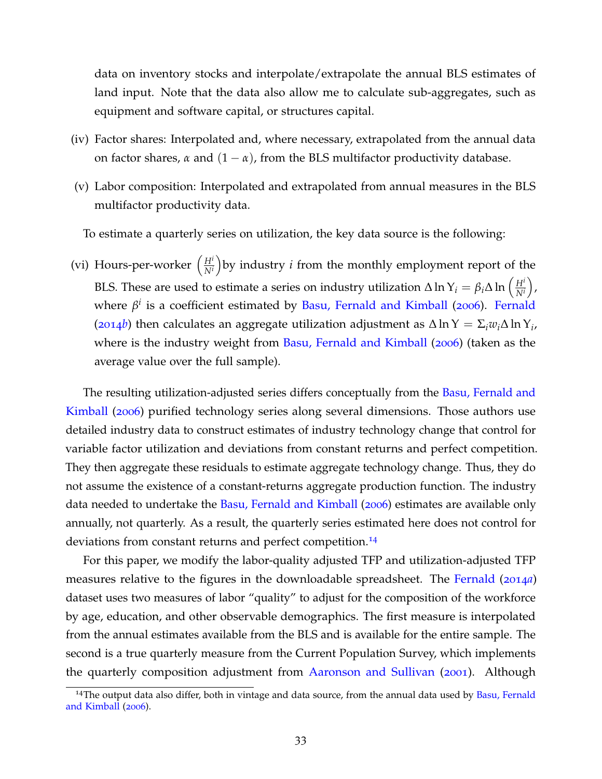data on inventory stocks and interpolate/extrapolate the annual BLS estimates of land input. Note that the data also allow me to calculate sub-aggregates, such as equipment and software capital, or structures capital.

- (iv) Factor shares: Interpolated and, where necessary, extrapolated from the annual data on factor shares,  $\alpha$  and  $(1 - \alpha)$ , from the BLS multifactor productivity database.
- (v) Labor composition: Interpolated and extrapolated from annual measures in the BLS multifactor productivity data.

To estimate a quarterly series on utilization, the key data source is the following:

(vi) Hours-per-worker  $\left(\frac{H^i}{N^i}\right)$ *Ni* by industry *i* from the monthly employment report of the BLS. These are used to estimate a series on industry utilization  $\Delta \ln Y_i = \beta_i \Delta \ln \left( \frac{H^i}{N^i} \right)$ *Ni* , where  $β<sup>i</sup>$  is a coefficient estimated by [Basu, Fernald and Kimball](#page-27-5) ([2006](#page-27-5)). [Fernald](#page-27-4) ([2014](#page-27-4)*b*) then calculates an aggregate utilization adjustment as  $\Delta \ln Y = \sum_i w_i \Delta \ln Y_i$ , where is the industry weight from [Basu, Fernald and Kimball](#page-27-5) ([2006](#page-27-5)) (taken as the average value over the full sample).

The resulting utilization-adjusted series differs conceptually from the [Basu, Fernald and](#page-27-5) [Kimball](#page-27-5) ([2006](#page-27-5)) purified technology series along several dimensions. Those authors use detailed industry data to construct estimates of industry technology change that control for variable factor utilization and deviations from constant returns and perfect competition. They then aggregate these residuals to estimate aggregate technology change. Thus, they do not assume the existence of a constant-returns aggregate production function. The industry data needed to undertake the [Basu, Fernald and Kimball](#page-27-5) ([2006](#page-27-5)) estimates are available only annually, not quarterly. As a result, the quarterly series estimated here does not control for deviations from constant returns and perfect competition.<sup>[14](#page-32-0)</sup>

For this paper, we modify the labor-quality adjusted TFP and utilization-adjusted TFP measures relative to the figures in the downloadable spreadsheet. The [Fernald](#page-27-6) ([2014](#page-27-6)*a*) dataset uses two measures of labor "quality" to adjust for the composition of the workforce by age, education, and other observable demographics. The first measure is interpolated from the annual estimates available from the BLS and is available for the entire sample. The second is a true quarterly measure from the Current Population Survey, which implements the quarterly composition adjustment from [Aaronson and Sullivan](#page-26-9) ([2001](#page-26-9)). Although

<span id="page-32-0"></span><sup>&</sup>lt;sup>14</sup>The output data also differ, both in vintage and data source, from the annual data used by [Basu, Fernald](#page-27-5) [and Kimball](#page-27-5) ([2006](#page-27-5)).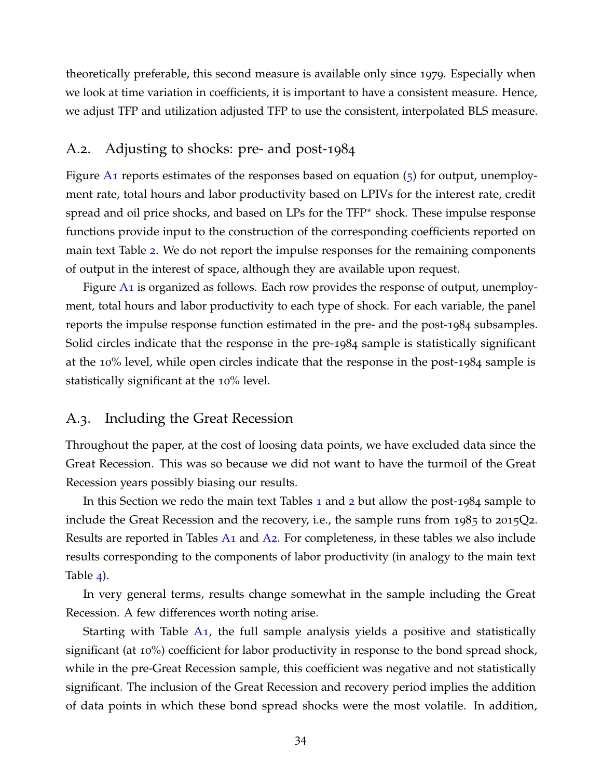theoretically preferable, this second measure is available only since 1979. Especially when we look at time variation in coefficients, it is important to have a consistent measure. Hence, we adjust TFP and utilization adjusted TFP to use the consistent, interpolated BLS measure.

# <span id="page-33-1"></span>A.2. Adjusting to shocks: pre- and post-1984

Figure [A](#page-34-0)<sub>1</sub> reports estimates of the responses based on equation  $(5)$  $(5)$  $(5)$  for output, unemployment rate, total hours and labor productivity based on LPIVs for the interest rate, credit spread and oil price shocks, and based on LPs for the  $TFP<sup>*</sup>$  shock. These impulse response functions provide input to the construction of the corresponding coefficients reported on main text Table [2](#page-19-0). We do not report the impulse responses for the remaining components of output in the interest of space, although they are available upon request.

Figure  $\Delta$ 1 is organized as follows. Each row provides the response of output, unemployment, total hours and labor productivity to each type of shock. For each variable, the panel reports the impulse response function estimated in the pre- and the post-1984 subsamples. Solid circles indicate that the response in the pre-1984 sample is statistically significant at the 10% level, while open circles indicate that the response in the post-1984 sample is statistically significant at the 10% level.

# <span id="page-33-0"></span>A.3. Including the Great Recession

Throughout the paper, at the cost of loosing data points, we have excluded data since the Great Recession. This was so because we did not want to have the turmoil of the Great Recession years possibly biasing our results.

In this Section we redo the main text Tables [1](#page-13-0) and [2](#page-19-0) but allow the post-1984 sample to include the Great Recession and the recovery, i.e., the sample runs from 1985 to 2015Q2. Results are reported in Tables [A](#page-36-0)1 and [A](#page-37-0)2. For completeness, in these tables we also include results corresponding to the components of labor productivity (in analogy to the main text Table [4](#page-23-0)).

In very general terms, results change somewhat in the sample including the Great Recession. A few differences worth noting arise.

Starting with Table [A](#page-36-0)1, the full sample analysis yields a positive and statistically significant (at 10%) coefficient for labor productivity in response to the bond spread shock, while in the pre-Great Recession sample, this coefficient was negative and not statistically significant. The inclusion of the Great Recession and recovery period implies the addition of data points in which these bond spread shocks were the most volatile. In addition,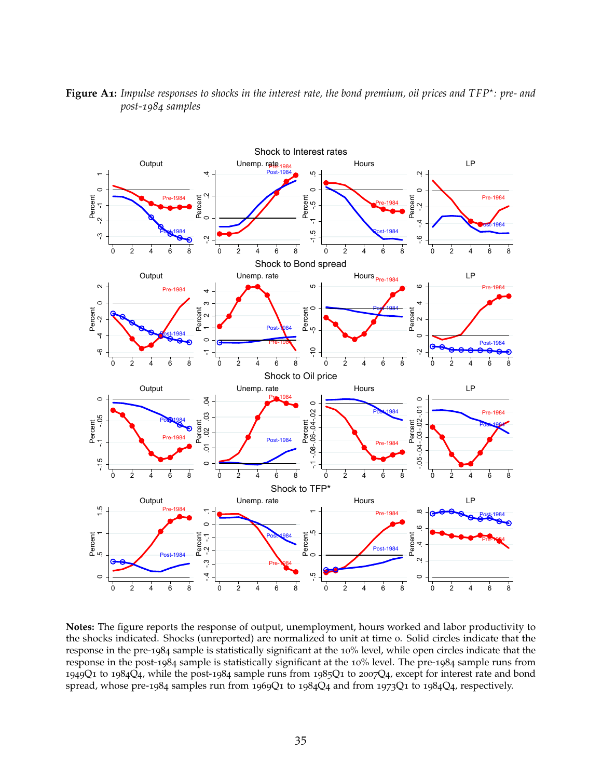

<span id="page-34-0"></span>**Figure A1:** *Impulse responses to shocks in the interest rate, the bond premium, oil prices and TFP*? *: pre- and post-1984 samples*

**Notes:** The figure reports the response of output, unemployment, hours worked and labor productivity to the shocks indicated. Shocks (unreported) are normalized to unit at time 0. Solid circles indicate that the response in the pre-1984 sample is statistically significant at the 10% level, while open circles indicate that the response in the post-1984 sample is statistically significant at the 10% level. The pre-1984 sample runs from 1949Q1 to 1984Q4, while the post-1984 sample runs from 1985Q1 to 2007Q4, except for interest rate and bond spread, whose pre-1984 samples run from 1969Q1 to 1984Q4 and from 1973Q1 to 1984Q4, respectively.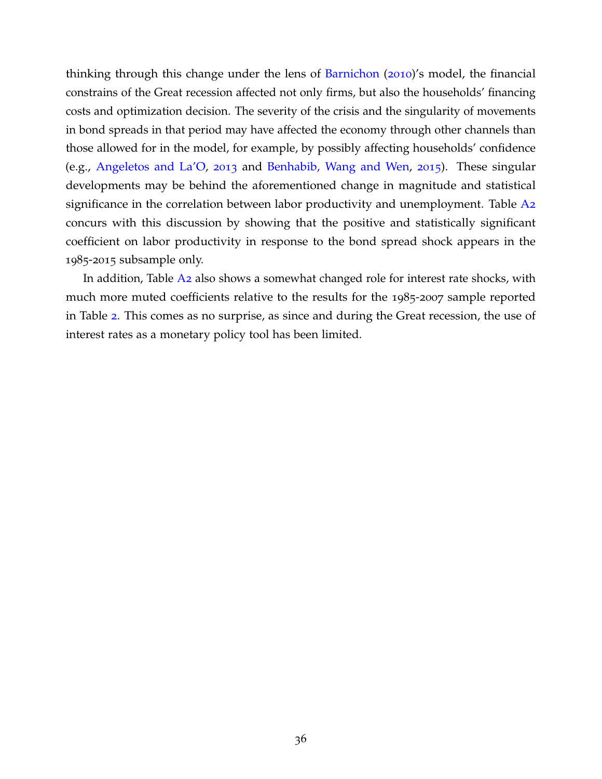thinking through this change under the lens of [Barnichon](#page-26-4) ([2010](#page-26-4))'s model, the financial constrains of the Great recession affected not only firms, but also the households' financing costs and optimization decision. The severity of the crisis and the singularity of movements in bond spreads in that period may have affected the economy through other channels than those allowed for in the model, for example, by possibly affecting households' confidence (e.g., [Angeletos and La'O,](#page-26-10) [2013](#page-26-10) and [Benhabib, Wang and Wen,](#page-27-11) [2015](#page-27-11)). These singular developments may be behind the aforementioned change in magnitude and statistical significance in the correlation between labor productivity and unemployment. Table [A](#page-37-0)2 concurs with this discussion by showing that the positive and statistically significant coefficient on labor productivity in response to the bond spread shock appears in the 1985-2015 subsample only.

In addition, Table [A](#page-37-0)<sub>2</sub> also shows a somewhat changed role for interest rate shocks, with much more muted coefficients relative to the results for the 1985-2007 sample reported in Table [2](#page-19-0). This comes as no surprise, as since and during the Great recession, the use of interest rates as a monetary policy tool has been limited.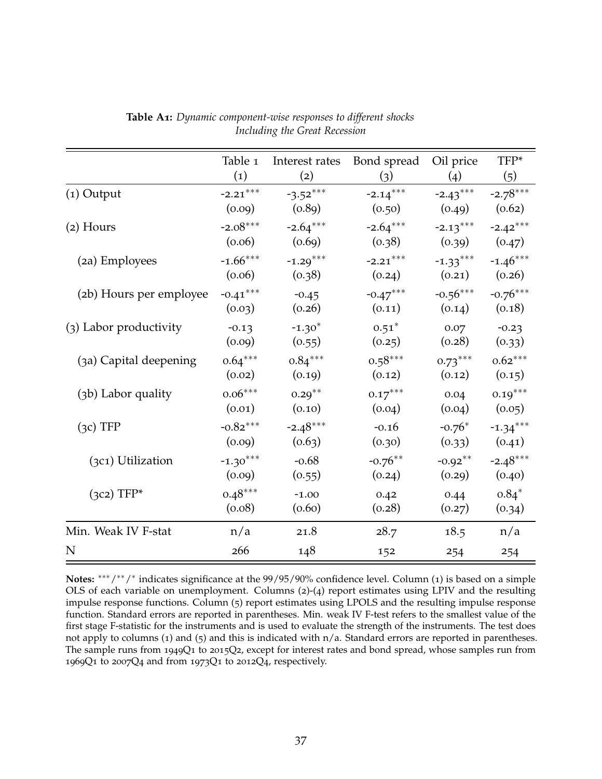<span id="page-36-0"></span>

|                         | Table 1           | Interest rates | Bond spread | Oil price  | TFP*       |
|-------------------------|-------------------|----------------|-------------|------------|------------|
|                         | $\left( 1\right)$ | (2)            | (3)         | (4)        | (5)        |
| $(i)$ Output            | $-2.21***$        | $-3.52***$     | $-2.14***$  | $-2.43***$ | $-2.78***$ |
|                         | (0.09)            | (0.89)         | (0.50)      | (0.49)     | (0.62)     |
| $(2)$ Hours             | $-2.08***$        | $-2.64***$     | $-2.64***$  | $-2.13***$ | $-2.42***$ |
|                         | (0.06)            | (0.69)         | (0.38)      | (0.39)     | (0.47)     |
| (2a) Employees          | $-1.66***$        | $-1.29***$     | $-2.21***$  | $-1.33***$ | $-1.46***$ |
|                         | (0.06)            | (0.38)         | (0.24)      | (0.21)     | (0.26)     |
| (2b) Hours per employee | $-0.41***$        | $-0.45$        | $-0.47***$  | $-0.56***$ | $-0.76***$ |
|                         | (0.03)            | (0.26)         | (0.11)      | (0.14)     | (0.18)     |
| (3) Labor productivity  | $-0.13$           | $-1.30*$       | $0.51*$     | 0.07       | $-0.23$    |
|                         | (0.09)            | (0.55)         | (0.25)      | (0.28)     | (0.33)     |
| (3a) Capital deepening  | $0.64***$         | $0.84***$      | $0.58***$   | $0.73***$  | $0.62***$  |
|                         | (0.02)            | (0.19)         | (0.12)      | (0.12)     | (0.15)     |
| (3b) Labor quality      | $0.06***$         | $0.29***$      | $0.17***$   | 0.04       | $0.19***$  |
|                         | (0.01)            | (0.10)         | (0.04)      | (0.04)     | (0.05)     |
| $(3c)$ TFP              | $-0.82***$        | $-2.48***$     | $-0.16$     | $-0.76*$   | $-1.34***$ |
|                         | (0.09)            | (0.63)         | (0.30)      | (0.33)     | (0.41)     |
| (3c1) Utilization       | $-1.30***$        | $-0.68$        | $-0.76**$   | $-0.92**$  | $-2.48***$ |
|                         | (0.09)            | (0.55)         | (0.24)      | (0.29)     | (0.40)     |
| $(3c2)$ TFP*            | $0.48***$         | $-1.00$        | 0.42        | 0.44       | $0.84*$    |
|                         | (0.08)            | (0.60)         | (0.28)      | (0.27)     | (0.34)     |
| Min. Weak IV F-stat     | n/a               | 21.8           | 28.7        | 18.5       | n/a        |
| N                       | 266               | 148            | 152         | 254        | 254        |

**Table A1:** *Dynamic component-wise responses to different shocks Including the Great Recession*

Notes: \*\*\*/\*\*/\* indicates significance at the 99/95/90% confidence level. Column (1) is based on a simple OLS of each variable on unemployment. Columns (2)-(4) report estimates using LPIV and the resulting impulse response functions. Column (5) report estimates using LPOLS and the resulting impulse response function. Standard errors are reported in parentheses. Min. weak IV F-test refers to the smallest value of the first stage F-statistic for the instruments and is used to evaluate the strength of the instruments. The test does not apply to columns  $(1)$  and  $(5)$  and this is indicated with  $n/a$ . Standard errors are reported in parentheses. The sample runs from 1949Q1 to 2015Q2, except for interest rates and bond spread, whose samples run from 1969Q1 to 2007Q4 and from 1973Q1 to 2012Q4, respectively.